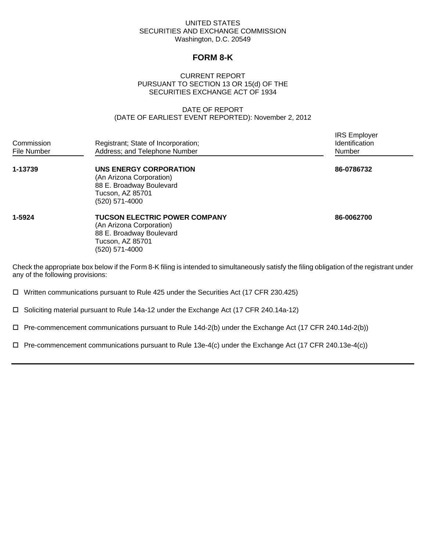# UNITED STATES SECURITIES AND EXCHANGE COMMISSION Washington, D.C. 20549

# **FORM 8-K**

# CURRENT REPORT PURSUANT TO SECTION 13 OR 15(d) OF THE SECURITIES EXCHANGE ACT OF 1934

# DATE OF REPORT (DATE OF EARLIEST EVENT REPORTED): November 2, 2012

IRS Employer

| Commission<br>File Number | Registrant; State of Incorporation;<br>Address; and Telephone Number                                                               | Identification<br><b>Number</b> |
|---------------------------|------------------------------------------------------------------------------------------------------------------------------------|---------------------------------|
| 1-13739                   | UNS ENERGY CORPORATION<br>(An Arizona Corporation)<br>88 E. Broadway Boulevard<br>Tucson, AZ 85701<br>(520) 571-4000               | 86-0786732                      |
| 1-5924                    | <b>TUCSON ELECTRIC POWER COMPANY</b><br>(An Arizona Corporation)<br>88 E. Broadway Boulevard<br>Tucson, AZ 85701<br>(520) 571-4000 | 86-0062700                      |

Check the appropriate box below if the Form 8-K filing is intended to simultaneously satisfy the filing obligation of the registrant under any of the following provisions:

Written communications pursuant to Rule 425 under the Securities Act (17 CFR 230.425)

Soliciting material pursuant to Rule 14a-12 under the Exchange Act (17 CFR 240.14a-12)

 $\Box$  Pre-commencement communications pursuant to Rule 14d-2(b) under the Exchange Act (17 CFR 240.14d-2(b))

 $\Box$  Pre-commencement communications pursuant to Rule 13e-4(c) under the Exchange Act (17 CFR 240.13e-4(c))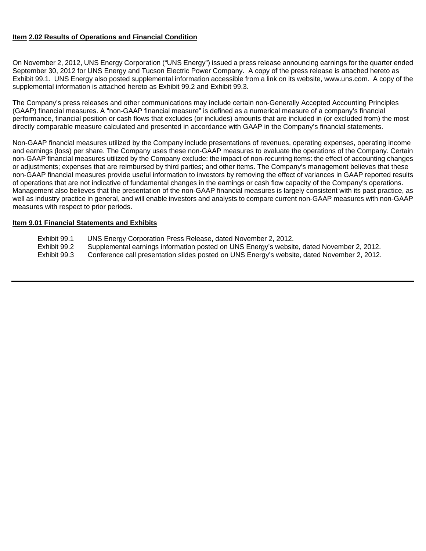# **Item 2.02 Results of Operations and Financial Condition**

On November 2, 2012, UNS Energy Corporation ("UNS Energy") issued a press release announcing earnings for the quarter ended September 30, 2012 for UNS Energy and Tucson Electric Power Company. A copy of the press release is attached hereto as Exhibit 99.1. UNS Energy also posted supplemental information accessible from a link on its website, www.uns.com. A copy of the supplemental information is attached hereto as Exhibit 99.2 and Exhibit 99.3.

The Company's press releases and other communications may include certain non-Generally Accepted Accounting Principles (GAAP) financial measures. A "non-GAAP financial measure" is defined as a numerical measure of a company's financial performance, financial position or cash flows that excludes (or includes) amounts that are included in (or excluded from) the most directly comparable measure calculated and presented in accordance with GAAP in the Company's financial statements.

Non-GAAP financial measures utilized by the Company include presentations of revenues, operating expenses, operating income and earnings (loss) per share. The Company uses these non-GAAP measures to evaluate the operations of the Company. Certain non-GAAP financial measures utilized by the Company exclude: the impact of non-recurring items: the effect of accounting changes or adjustments; expenses that are reimbursed by third parties; and other items. The Company's management believes that these non-GAAP financial measures provide useful information to investors by removing the effect of variances in GAAP reported results of operations that are not indicative of fundamental changes in the earnings or cash flow capacity of the Company's operations. Management also believes that the presentation of the non-GAAP financial measures is largely consistent with its past practice, as well as industry practice in general, and will enable investors and analysts to compare current non-GAAP measures with non-GAAP measures with respect to prior periods.

# **Item 9.01 Financial Statements and Exhibits**

- Exhibit 99.1 UNS Energy Corporation Press Release, dated November 2, 2012.
- Exhibit 99.2 Supplemental earnings information posted on UNS Energy's website, dated November 2, 2012.
- Exhibit 99.3 Conference call presentation slides posted on UNS Energy's website, dated November 2, 2012.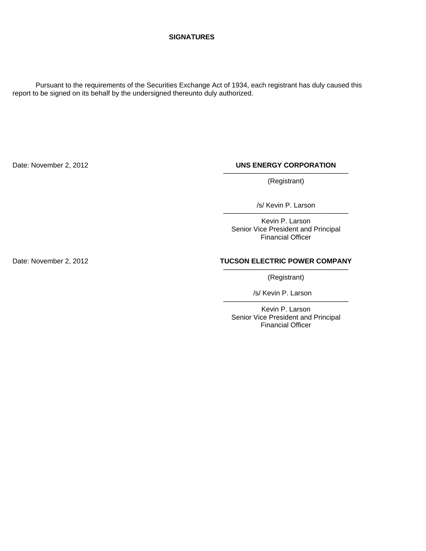#### **SIGNATURES**

 Pursuant to the requirements of the Securities Exchange Act of 1934, each registrant has duly caused this report to be signed on its behalf by the undersigned thereunto duly authorized.

# Date: November 2, 2012 **UNS ENERGY CORPORATION** ——————————————————

(Registrant)

/s/ Kevin P. Larson ——————————————————

Kevin P. Larson Senior Vice President and Principal Financial Officer

### Date: November 2, 2012 **TUCSON ELECTRIC POWER COMPANY** ——————————————————

(Registrant)

 /s/ Kevin P. Larson ——————————————————

Kevin P. Larson Senior Vice President and Principal Financial Officer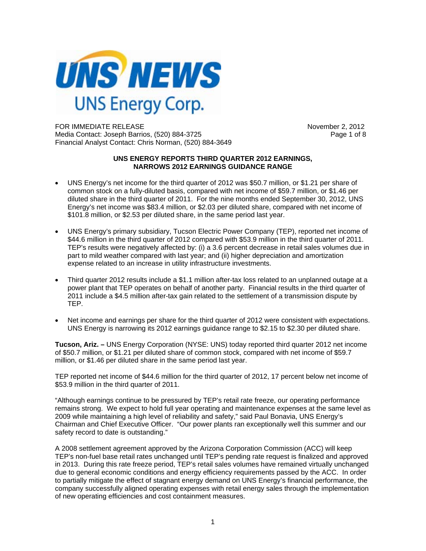

FOR IMMEDIATE RELEASE November 2, 2012 Media Contact: Joseph Barrios, (520) 884-3725 Page 1 of 8 Financial Analyst Contact: Chris Norman, (520) 884-3649

#### **UNS ENERGY REPORTS THIRD QUARTER 2012 EARNINGS, NARROWS 2012 EARNINGS GUIDANCE RANGE**

- UNS Energy's net income for the third quarter of 2012 was \$50.7 million, or \$1.21 per share of common stock on a fully-diluted basis, compared with net income of \$59.7 million, or \$1.46 per diluted share in the third quarter of 2011. For the nine months ended September 30, 2012, UNS Energy's net income was \$83.4 million, or \$2.03 per diluted share, compared with net income of \$101.8 million, or \$2.53 per diluted share, in the same period last year.
- UNS Energy's primary subsidiary, Tucson Electric Power Company (TEP), reported net income of \$44.6 million in the third quarter of 2012 compared with \$53.9 million in the third quarter of 2011. TEP's results were negatively affected by: (i) a 3.6 percent decrease in retail sales volumes due in part to mild weather compared with last year; and (ii) higher depreciation and amortization expense related to an increase in utility infrastructure investments.
- Third quarter 2012 results include a \$1.1 million after-tax loss related to an unplanned outage at a power plant that TEP operates on behalf of another party. Financial results in the third quarter of 2011 include a \$4.5 million after-tax gain related to the settlement of a transmission dispute by TEP.
- Net income and earnings per share for the third quarter of 2012 were consistent with expectations. UNS Energy is narrowing its 2012 earnings guidance range to \$2.15 to \$2.30 per diluted share.

**Tucson, Ariz. –** UNS Energy Corporation (NYSE: UNS) today reported third quarter 2012 net income of \$50.7 million, or \$1.21 per diluted share of common stock, compared with net income of \$59.7 million, or \$1.46 per diluted share in the same period last year.

TEP reported net income of \$44.6 million for the third quarter of 2012, 17 percent below net income of \$53.9 million in the third quarter of 2011.

"Although earnings continue to be pressured by TEP's retail rate freeze, our operating performance remains strong. We expect to hold full year operating and maintenance expenses at the same level as 2009 while maintaining a high level of reliability and safety," said Paul Bonavia, UNS Energy's Chairman and Chief Executive Officer. "Our power plants ran exceptionally well this summer and our safety record to date is outstanding."

A 2008 settlement agreement approved by the Arizona Corporation Commission (ACC) will keep TEP's non-fuel base retail rates unchanged until TEP's pending rate request is finalized and approved in 2013. During this rate freeze period, TEP's retail sales volumes have remained virtually unchanged due to general economic conditions and energy efficiency requirements passed by the ACC. In order to partially mitigate the effect of stagnant energy demand on UNS Energy's financial performance, the company successfully aligned operating expenses with retail energy sales through the implementation of new operating efficiencies and cost containment measures.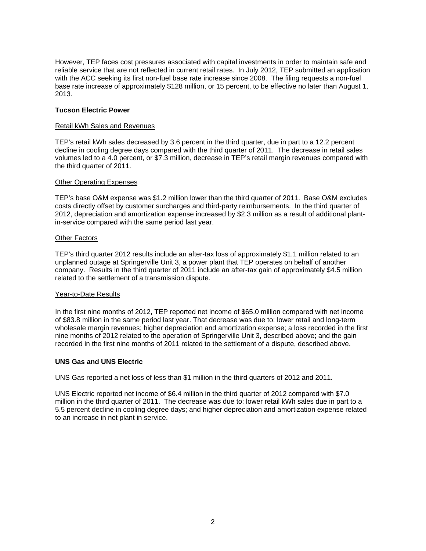However, TEP faces cost pressures associated with capital investments in order to maintain safe and reliable service that are not reflected in current retail rates. In July 2012, TEP submitted an application with the ACC seeking its first non-fuel base rate increase since 2008. The filing requests a non-fuel base rate increase of approximately \$128 million, or 15 percent, to be effective no later than August 1, 2013.

# **Tucson Electric Power**

# Retail kWh Sales and Revenues

TEP's retail kWh sales decreased by 3.6 percent in the third quarter, due in part to a 12.2 percent decline in cooling degree days compared with the third quarter of 2011. The decrease in retail sales volumes led to a 4.0 percent, or \$7.3 million, decrease in TEP's retail margin revenues compared with the third quarter of 2011.

### Other Operating Expenses

TEP's base O&M expense was \$1.2 million lower than the third quarter of 2011. Base O&M excludes costs directly offset by customer surcharges and third-party reimbursements. In the third quarter of 2012, depreciation and amortization expense increased by \$2.3 million as a result of additional plantin-service compared with the same period last year.

#### Other Factors

TEP's third quarter 2012 results include an after-tax loss of approximately \$1.1 million related to an unplanned outage at Springerville Unit 3, a power plant that TEP operates on behalf of another company. Results in the third quarter of 2011 include an after-tax gain of approximately \$4.5 million related to the settlement of a transmission dispute.

### Year-to-Date Results

In the first nine months of 2012, TEP reported net income of \$65.0 million compared with net income of \$83.8 million in the same period last year. That decrease was due to: lower retail and long-term wholesale margin revenues; higher depreciation and amortization expense; a loss recorded in the first nine months of 2012 related to the operation of Springerville Unit 3, described above; and the gain recorded in the first nine months of 2011 related to the settlement of a dispute, described above.

### **UNS Gas and UNS Electric**

UNS Gas reported a net loss of less than \$1 million in the third quarters of 2012 and 2011.

UNS Electric reported net income of \$6.4 million in the third quarter of 2012 compared with \$7.0 million in the third quarter of 2011. The decrease was due to: lower retail kWh sales due in part to a 5.5 percent decline in cooling degree days; and higher depreciation and amortization expense related to an increase in net plant in service.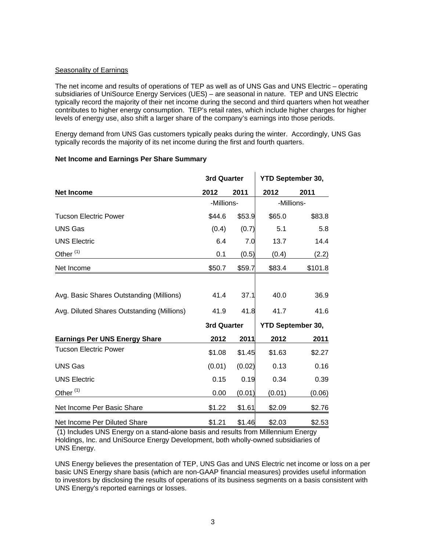# Seasonality of Earnings

The net income and results of operations of TEP as well as of UNS Gas and UNS Electric – operating subsidiaries of UniSource Energy Services (UES) – are seasonal in nature. TEP and UNS Electric typically record the majority of their net income during the second and third quarters when hot weather contributes to higher energy consumption. TEP's retail rates, which include higher charges for higher levels of energy use, also shift a larger share of the company's earnings into those periods.

Energy demand from UNS Gas customers typically peaks during the winter. Accordingly, UNS Gas typically records the majority of its net income during the first and fourth quarters.

# **Net Income and Earnings Per Share Summary**

|                                            | 3rd Quarter |        | <b>YTD September 30,</b> |                          |  |
|--------------------------------------------|-------------|--------|--------------------------|--------------------------|--|
| <b>Net Income</b>                          | 2012        | 2011   | 2012                     | 2011                     |  |
|                                            | -Millions-  |        |                          | -Millions-               |  |
| <b>Tucson Electric Power</b>               | \$44.6      | \$53.9 | \$65.0                   | \$83.8                   |  |
| <b>UNS Gas</b>                             | (0.4)       | (0.7)  | 5.1                      | 5.8                      |  |
| <b>UNS Electric</b>                        | 6.4         | 7.0    | 13.7                     | 14.4                     |  |
| Other <sup>(1)</sup>                       | 0.1         | (0.5)  | (0.4)                    | (2.2)                    |  |
| Net Income                                 | \$50.7      | \$59.7 | \$83.4                   | \$101.8                  |  |
| Avg. Basic Shares Outstanding (Millions)   | 41.4        | 37.1   | 40.0                     | 36.9                     |  |
| Avg. Diluted Shares Outstanding (Millions) | 41.9        | 41.8   | 41.7                     | 41.6                     |  |
|                                            | 3rd Quarter |        |                          | <b>YTD September 30,</b> |  |
| <b>Earnings Per UNS Energy Share</b>       | 2012        | 2011   | 2012                     | 2011                     |  |
| <b>Tucson Electric Power</b>               | \$1.08      | \$1.45 | \$1.63                   | \$2.27                   |  |
| <b>UNS Gas</b>                             | (0.01)      | (0.02) | 0.13                     | 0.16                     |  |
| <b>UNS Electric</b>                        | 0.15        | 0.19   | 0.34                     | 0.39                     |  |
| Other <sup>(1)</sup>                       | 0.00        | (0.01) | (0.01)                   | (0.06)                   |  |
| Net Income Per Basic Share                 | \$1.22      | \$1.61 | \$2.09                   | \$2.76                   |  |
| Net Income Per Diluted Share               | \$1.21      | \$1.46 | \$2.03                   | \$2.53                   |  |

 (1) Includes UNS Energy on a stand-alone basis and results from Millennium Energy Holdings, Inc. and UniSource Energy Development, both wholly-owned subsidiaries of UNS Energy.

UNS Energy believes the presentation of TEP, UNS Gas and UNS Electric net income or loss on a per basic UNS Energy share basis (which are non-GAAP financial measures) provides useful information to investors by disclosing the results of operations of its business segments on a basis consistent with UNS Energy's reported earnings or losses.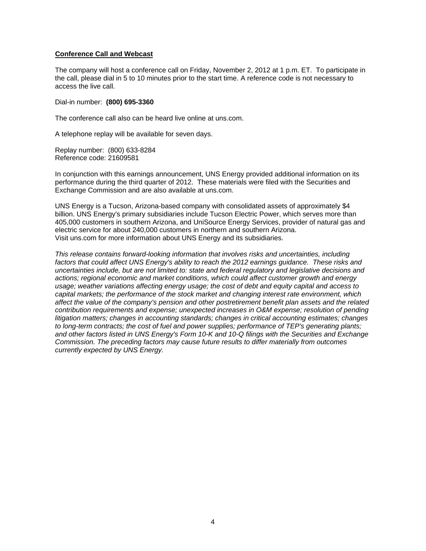# **Conference Call and Webcast**

The company will host a conference call on Friday, November 2, 2012 at 1 p.m. ET. To participate in the call, please dial in 5 to 10 minutes prior to the start time. A reference code is not necessary to access the live call.

Dial-in number: **(800) 695-3360**

The conference call also can be heard live online at uns.com.

A telephone replay will be available for seven days.

Replay number: (800) 633-8284 Reference code: 21609581

In conjunction with this earnings announcement, UNS Energy provided additional information on its performance during the third quarter of 2012. These materials were filed with the Securities and Exchange Commission and are also available at uns.com.

UNS Energy is a Tucson, Arizona-based company with consolidated assets of approximately \$4 billion. UNS Energy's primary subsidiaries include Tucson Electric Power, which serves more than 405,000 customers in southern Arizona, and UniSource Energy Services, provider of natural gas and electric service for about 240,000 customers in northern and southern Arizona. Visit uns.com for more information about UNS Energy and its subsidiaries.

*This release contains forward-looking information that involves risks and uncertainties, including*  factors that could affect UNS Energy's ability to reach the 2012 earnings guidance. These risks and *uncertainties include, but are not limited to: state and federal regulatory and legislative decisions and actions; regional economic and market conditions, which could affect customer growth and energy usage; weather variations affecting energy usage; the cost of debt and equity capital and access to capital markets; the performance of the stock market and changing interest rate environment, which affect the value of the company's pension and other postretirement benefit plan assets and the related contribution requirements and expense; unexpected increases in O&M expense; resolution of pending litigation matters; changes in accounting standards; changes in critical accounting estimates; changes to long-term contracts; the cost of fuel and power supplies; performance of TEP's generating plants; and other factors listed in UNS Energy's Form 10-K and 10-Q filings with the Securities and Exchange Commission. The preceding factors may cause future results to differ materially from outcomes currently expected by UNS Energy.*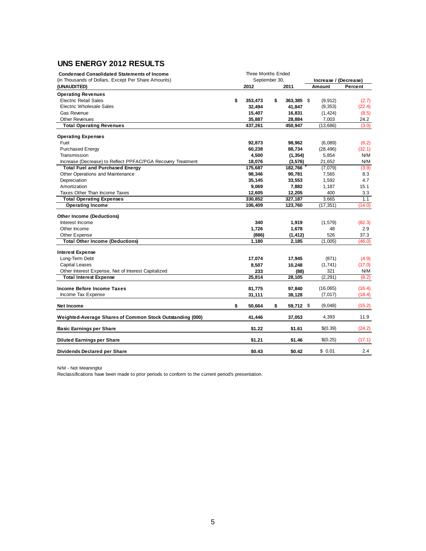# **UNS ENERGY 2012 RESULTS**

| <b>Condensed Consolidated Statements of Income</b>          | <b>Three Months Ended</b><br>September 30, |         |    |            |                       |         |  |
|-------------------------------------------------------------|--------------------------------------------|---------|----|------------|-----------------------|---------|--|
| (in Thousands of Dollars, Except Per Share Amounts)         |                                            |         |    |            | Increase / (Decrease) |         |  |
| (UNAUDITED)                                                 |                                            | 2012    |    | 2011       | Amount                | Percent |  |
| <b>Operating Revenues</b>                                   |                                            |         |    |            |                       |         |  |
| <b>Electric Retail Sales</b>                                | \$                                         | 353,473 | \$ | 363,385 \$ | (9, 912)              | (2.7)   |  |
| Electric Wholesale Sales                                    |                                            | 32,494  |    | 41,847     | (9,353)               | (22.4)  |  |
| <b>Gas Revenue</b>                                          |                                            | 15,407  |    | 16,831     | (1, 424)              | (8.5)   |  |
| <b>Other Revenues</b>                                       |                                            | 35,887  |    | 28,884     | 7,003                 | 24.2    |  |
| <b>Total Operating Revenues</b>                             |                                            | 437,261 |    | 450,947    | (13,686)              | (3.0)   |  |
| <b>Operating Expenses</b>                                   |                                            |         |    |            |                       |         |  |
| Fuel                                                        |                                            | 92,873  |    | 98,962     | (6,089)               | (6.2)   |  |
| <b>Purchased Energy</b>                                     |                                            | 60,238  |    | 88,734     | (28, 496)             | (32.1)  |  |
| Transmission                                                |                                            | 4,500   |    | (1, 354)   | 5,854                 | N/M     |  |
| Increase (Decrease) to Reflect PPFAC/PGA Recovery Treatment |                                            | 18,076  |    | (3,576)    | 21,652                | N/M     |  |
| <b>Total Fuel and Purchased Energy</b>                      |                                            | 175,687 |    | 182,766    | (7,079)               | (3.9)   |  |
| Other Operations and Maintenance                            |                                            | 98,346  |    | 90,781     | 7,565                 | 8.3     |  |
| Depreciation                                                |                                            | 35,145  |    | 33,553     | 1,592                 | 4.7     |  |
| Amortization                                                |                                            | 9,069   |    | 7,882      | 1,187                 | 15.1    |  |
| Taxes Other Than Income Taxes                               |                                            | 12,605  |    | 12,205     | 400                   | 3.3     |  |
| <b>Total Operating Expenses</b>                             |                                            | 330.852 |    | 327,187    | 3,665                 | 1.1     |  |
| <b>Operating Income</b>                                     |                                            | 106,409 |    | 123,760    | (17, 351)             | (14.0)  |  |
| Other Income (Deductions)                                   |                                            |         |    |            |                       |         |  |
| Interest Income                                             |                                            | 340     |    | 1,919      | (1, 579)              | (82.3)  |  |
| Other Income                                                |                                            | 1,726   |    | 1,678      | 48                    | 2.9     |  |
| Other Expense                                               |                                            | (886)   |    | (1, 412)   | 526                   | 37.3    |  |
| <b>Total Other Income (Deductions)</b>                      |                                            | 1,180   |    | 2,185      | (1,005)               | (46.0)  |  |
|                                                             |                                            |         |    |            |                       |         |  |
| <b>Interest Expense</b>                                     |                                            |         |    |            |                       |         |  |
| Long-Term Debt                                              |                                            | 17,074  |    | 17,945     | (871)                 | (4.9)   |  |
| <b>Capital Leases</b>                                       |                                            | 8,507   |    | 10,248     | (1,741)               | (17.0)  |  |
| Other Interest Expense, Net of Interest Capitalized         |                                            | 233     |    | (88)       | 321                   | N/M     |  |
| <b>Total Interest Expense</b>                               |                                            | 25.814  |    | 28,105     | (2, 291)              | (8.2)   |  |
| <b>Income Before Income Taxes</b>                           |                                            | 81,775  |    | 97,840     | (16,065)              | (16.4)  |  |
| Income Tax Expense                                          |                                            | 31,111  |    | 38,128     | (7, 017)              | (18.4)  |  |
|                                                             |                                            |         |    |            |                       |         |  |
| <b>Net Income</b>                                           | \$                                         | 50,664  | \$ | 59,712 \$  | (9,048)               | (15.2)  |  |
| Weighted-Average Shares of Common Stock Outstanding (000)   |                                            | 41,446  |    | 37,053     | 4,393                 | 11.9    |  |
| <b>Basic Earnings per Share</b>                             |                                            | \$1.22  |    | \$1.61     | \$(0.39)              | (24.2)  |  |
| <b>Diluted Earnings per Share</b>                           |                                            | \$1.21  |    | \$1.46     | \$(0.25)              | (17.1)  |  |
| <b>Dividends Declared per Share</b>                         |                                            | \$0.43  |    | \$0.42     | \$0.01                | 2.4     |  |

N/M - Not Meaningful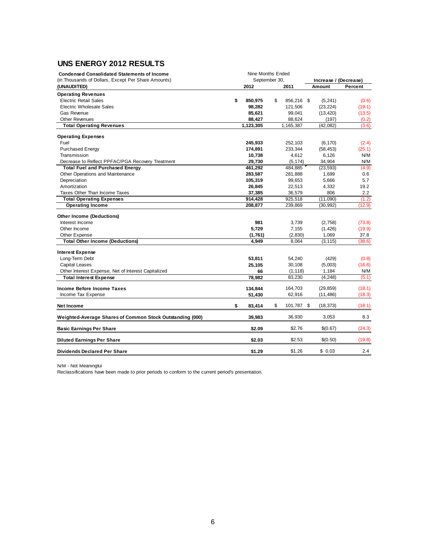# **UNS ENERGY 2012 RESULTS**

| <b>Condensed Consolidated Statements of Income</b><br>(in Thousands of Dollars, Except Per Share Amounts) | Nine Months Ended<br>September 30, |                  | Increase / (Decrease) |         |
|-----------------------------------------------------------------------------------------------------------|------------------------------------|------------------|-----------------------|---------|
| (UNAUDITED)                                                                                               | 2012                               | 2011             | Amount                | Percent |
| <b>Operating Revenues</b>                                                                                 |                                    |                  |                       |         |
| <b>Electric Retail Sales</b>                                                                              | \$<br>850,975                      | \$<br>856,216 \$ | (5, 241)              | (0.6)   |
| <b>Electric Wholesale Sales</b>                                                                           | 98,282                             | 121,506          | (23, 224)             | (19.1)  |
| <b>Gas Revenue</b>                                                                                        | 85,621                             | 99,041           | (13, 420)             | (13.5)  |
| <b>Other Revenues</b>                                                                                     | 88,427                             | 88,624           | (197)                 | (0.2)   |
| <b>Total Operating Revenues</b>                                                                           | 1,123,305                          | 1,165,387        | (42, 082)             | (3.6)   |
| <b>Operating Expenses</b>                                                                                 |                                    |                  |                       |         |
| Fuel                                                                                                      | 245,933                            | 252,103          | (6, 170)              | (2.4)   |
| <b>Purchased Energy</b>                                                                                   | 174,891                            | 233,344          | (58, 453)             | (25.1)  |
| Transmission                                                                                              | 10,738                             | 4,612            | 6,126                 | N/M     |
| Decrease to Reflect PPFAC/PGA Recovery Treatment                                                          | 29,730                             | (5, 174)         | 34,904                | N/M     |
| <b>Total Fuel and Purchased Energy</b>                                                                    | 461,292                            | 484,885          | (23, 593)             | (4.9)   |
| Other Operations and Maintenance                                                                          | 283,587                            | 281,888          | 1,699                 | 0.6     |
| Depreciation                                                                                              | 105,319                            | 99,653           | 5,666                 | 5.7     |
| Amortization                                                                                              | 26,845                             | 22,513           | 4,332                 | 19.2    |
| Taxes Other Than Income Taxes                                                                             | 37,385                             | 36,579           | 806                   | 2.2     |
| <b>Total Operating Expenses</b>                                                                           | 914,428                            | 925,518          | (11,090)              | (1.2)   |
| <b>Operating Income</b>                                                                                   | 208,877                            | 239,869          | (30, 992)             | (12.9)  |
| <b>Other Income (Deductions)</b>                                                                          |                                    |                  |                       |         |
| Interest Income                                                                                           | 981                                | 3,739            | (2,758)               | (73.8)  |
| Other Income                                                                                              | 5,729                              | 7,155            | (1, 426)              | (19.9)  |
| Other Expense                                                                                             | (1,761)                            | (2, 830)         | 1,069                 | 37.8    |
| <b>Total Other Income (Deductions)</b>                                                                    | 4,949                              | 8,064            | (3, 115)              | (38.6)  |
| <b>Interest Expense</b>                                                                                   |                                    |                  |                       |         |
| Long-Term Debt                                                                                            | 53,811                             | 54,240           | (429)                 | (0.8)   |
| <b>Capital Leases</b>                                                                                     | 25,105                             | 30,108           | (5,003)               | (16.6)  |
| Other Interest Expense, Net of Interest Capitalized                                                       | 66                                 | (1, 118)         | 1,184                 | N/M     |
| <b>Total Interest Expense</b>                                                                             | 78,982                             | 83,230           | (4, 248)              | (5.1)   |
|                                                                                                           |                                    |                  |                       |         |
| Income Before Income Taxes                                                                                | 134,844                            | 164,703          | (29, 859)             | (18.1)  |
| Income Tax Expense                                                                                        | 51,430                             | 62,916           | (11, 486)             | (18.3)  |
| <b>Net Income</b>                                                                                         | \$<br>83,414                       | \$<br>101,787 \$ | (18, 373)             | (18.1)  |
| Weighted-Average Shares of Common Stock Outstanding (000)                                                 | 39,983                             | 36,930           | 3,053                 | 8.3     |
| <b>Basic Earnings Per Share</b>                                                                           | \$2.09                             | \$2.76           | \$(0.67)              | (24.3)  |
| <b>Diluted Earnings Per Share</b>                                                                         | \$2.03                             | \$2.53           | \$(0.50)              | (19.8)  |
| <b>Dividends Declared Per Share</b>                                                                       | \$1.29                             | \$1.26           | \$0.03                | 2.4     |

N/M - Not Meaningful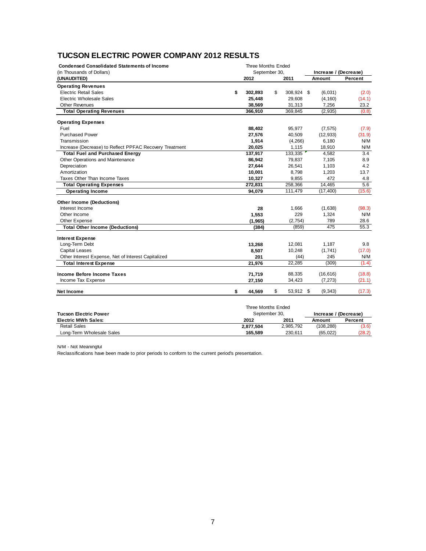# **TUCSON ELECTRIC POWER COMPANY 2012 RESULTS**

| <b>Condensed Consolidated Statements of Income</b>      | <b>Three Months Ended</b> |               |    |            |                       |           |         |
|---------------------------------------------------------|---------------------------|---------------|----|------------|-----------------------|-----------|---------|
| (in Thousands of Dollars)                               |                           | September 30. |    |            | Increase / (Decrease) |           |         |
| (UNAUDITED)                                             |                           | 2012          |    | 2011       |                       | Amount    | Percent |
| <b>Operating Revenues</b>                               |                           |               |    |            |                       |           |         |
| <b>Electric Retail Sales</b>                            | \$                        | 302,893       | \$ | 308,924 \$ |                       | (6,031)   | (2.0)   |
| <b>Electric Wholesale Sales</b>                         |                           | 25,448        |    | 29,608     |                       | (4, 160)  | (14.1)  |
| <b>Other Revenues</b>                                   |                           | 38,569        |    | 31,313     |                       | 7,256     | 23.2    |
| <b>Total Operating Revenues</b>                         |                           | 366,910       |    | 369,845    |                       | (2, 935)  | (0.8)   |
| <b>Operating Expenses</b>                               |                           |               |    |            |                       |           |         |
| Fuel                                                    |                           | 88,402        |    | 95,977     |                       | (7, 575)  | (7.9)   |
| <b>Purchased Power</b>                                  |                           | 27,576        |    | 40,509     |                       | (12, 933) | (31.9)  |
| Transmission                                            |                           | 1,914         |    | (4, 266)   |                       | 6.180     | N/M     |
| Increase (Decrease) to Reflect PPFAC Recovery Treatment |                           | 20,025        |    | 1,115      |                       | 18,910    | N/M     |
| <b>Total Fuel and Purchased Energy</b>                  |                           | 137,917       |    | 133,335    |                       | 4,582     | 3.4     |
| Other Operations and Maintenance                        |                           | 86,942        |    | 79,837     |                       | 7,105     | 8.9     |
| Depreciation                                            |                           | 27,644        |    | 26,541     |                       | 1,103     | 4.2     |
| Amortization                                            |                           | 10,001        |    | 8,798      |                       | 1,203     | 13.7    |
| Taxes Other Than Income Taxes                           |                           | 10,327        |    | 9,855      |                       | 472       | 4.8     |
| <b>Total Operating Expenses</b>                         |                           | 272,831       |    | 258,366    |                       | 14,465    | 5.6     |
| <b>Operating Income</b>                                 |                           | 94,079        |    | 111,479    |                       | (17, 400) | (15.6)  |
| <b>Other Income (Deductions)</b>                        |                           |               |    |            |                       |           |         |
| Interest Income                                         |                           | 28            |    | 1,666      |                       | (1,638)   | (98.3)  |
| Other Income                                            |                           | 1,553         |    | 229        |                       | 1,324     | N/M     |
| Other Expense                                           |                           | (1, 965)      |    | (2, 754)   |                       | 789       | 28.6    |
| <b>Total Other Income (Deductions)</b>                  |                           | (384)         |    | (859)      |                       | 475       | 55.3    |
| <b>Interest Expense</b>                                 |                           |               |    |            |                       |           |         |
| Long-Term Debt                                          |                           | 13,268        |    | 12,081     |                       | 1,187     | 9.8     |
| <b>Capital Leases</b>                                   |                           | 8,507         |    | 10,248     |                       | (1,741)   | (17.0)  |
| Other Interest Expense, Net of Interest Capitalized     |                           | 201           |    | (44)       |                       | 245       | N/M     |
| <b>Total Interest Expense</b>                           |                           | 21,976        |    | 22,285     |                       | (309)     | (1.4)   |
| Income Before Income Taxes                              |                           | 71,719        |    | 88,335     |                       | (16, 616) | (18.8)  |
| Income Tax Expense                                      |                           | 27,150        |    | 34,423     |                       | (7, 273)  | (21.1)  |
| <b>Net Income</b>                                       | \$                        | 44,569        | \$ | 53,912 \$  |                       | (9, 343)  | (17.3)  |

|                              | Three Months Ended |           |                       |         |  |  |
|------------------------------|--------------------|-----------|-----------------------|---------|--|--|
| <b>Tucson Electric Power</b> | September 30.      |           | Increase / (Decrease) |         |  |  |
| <b>Electric MWh Sales:</b>   | 2012               | 2011      | Amount                | Percent |  |  |
| <b>Retail Sales</b>          | 2.877.504          | 2,985,792 | (108, 288)            | (3.6)   |  |  |
| Long-Term Wholesale Sales    | 165.589            | 230.611   | (65.022)              | (28.2)  |  |  |

N/M - Not Meaningful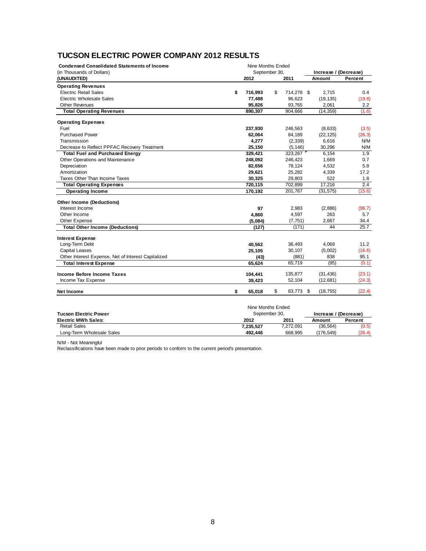# **TUCSON ELECTRIC POWER COMPANY 2012 RESULTS**

| September 30,<br>(in Thousands of Dollars)<br>Increase / (Decrease)<br>2012<br>2011<br>(UNAUDITED)<br>Amount<br><b>Operating Revenues</b><br><b>Electric Retail Sales</b><br>\$<br>716,993<br>\$<br>714,278 \$<br>2,715<br><b>Electric Wholesale Sales</b><br>77,488<br>96,623<br>(19, 135)<br>95,826<br>93,765<br>2,061<br><b>Other Revenues</b><br><b>Total Operating Revenues</b><br>890,307<br>904,666<br>(14, 359)<br><b>Operating Expenses</b><br>Fuel<br>246,563<br>(8,633)<br>237,930<br><b>Purchased Power</b><br>84,189<br>(22, 125)<br>62,064<br>Transmission<br>6,616<br>4,277<br>(2, 339) | Percent<br>0.4<br>(19.8)<br>2.2<br>(1.6)<br>(3.5)<br>(26.3)<br>N/M<br>N/M |
|--------------------------------------------------------------------------------------------------------------------------------------------------------------------------------------------------------------------------------------------------------------------------------------------------------------------------------------------------------------------------------------------------------------------------------------------------------------------------------------------------------------------------------------------------------------------------------------------------------|---------------------------------------------------------------------------|
|                                                                                                                                                                                                                                                                                                                                                                                                                                                                                                                                                                                                        |                                                                           |
|                                                                                                                                                                                                                                                                                                                                                                                                                                                                                                                                                                                                        |                                                                           |
|                                                                                                                                                                                                                                                                                                                                                                                                                                                                                                                                                                                                        |                                                                           |
|                                                                                                                                                                                                                                                                                                                                                                                                                                                                                                                                                                                                        |                                                                           |
|                                                                                                                                                                                                                                                                                                                                                                                                                                                                                                                                                                                                        |                                                                           |
|                                                                                                                                                                                                                                                                                                                                                                                                                                                                                                                                                                                                        |                                                                           |
|                                                                                                                                                                                                                                                                                                                                                                                                                                                                                                                                                                                                        |                                                                           |
|                                                                                                                                                                                                                                                                                                                                                                                                                                                                                                                                                                                                        |                                                                           |
|                                                                                                                                                                                                                                                                                                                                                                                                                                                                                                                                                                                                        |                                                                           |
|                                                                                                                                                                                                                                                                                                                                                                                                                                                                                                                                                                                                        |                                                                           |
|                                                                                                                                                                                                                                                                                                                                                                                                                                                                                                                                                                                                        |                                                                           |
| Decrease to Reflect PPFAC Recovery Treatment<br>25,150<br>(5, 146)<br>30,296                                                                                                                                                                                                                                                                                                                                                                                                                                                                                                                           |                                                                           |
| <b>Total Fuel and Purchased Energy</b><br>329,421<br>323,267<br>6,154                                                                                                                                                                                                                                                                                                                                                                                                                                                                                                                                  | 1.9                                                                       |
| 1,669<br>Other Operations and Maintenance<br>248,092<br>246,423                                                                                                                                                                                                                                                                                                                                                                                                                                                                                                                                        | 0.7                                                                       |
| 78,124<br>4,532<br>Depreciation<br>82,656                                                                                                                                                                                                                                                                                                                                                                                                                                                                                                                                                              | 5.8                                                                       |
| Amortization<br>29,621<br>25,282<br>4,339                                                                                                                                                                                                                                                                                                                                                                                                                                                                                                                                                              | 17.2                                                                      |
| 522<br>Taxes Other Than Income Taxes<br>30,325<br>29,803                                                                                                                                                                                                                                                                                                                                                                                                                                                                                                                                               | 1.8                                                                       |
| 720,115<br>702,899<br>17,216<br><b>Total Operating Expenses</b>                                                                                                                                                                                                                                                                                                                                                                                                                                                                                                                                        | 2.4                                                                       |
| <b>Operating Income</b><br>201,767<br>170,192<br>(31, 575)                                                                                                                                                                                                                                                                                                                                                                                                                                                                                                                                             | (15.6)                                                                    |
| <b>Other Income (Deductions)</b>                                                                                                                                                                                                                                                                                                                                                                                                                                                                                                                                                                       |                                                                           |
| Interest Income<br>97<br>2,983<br>(2,886)                                                                                                                                                                                                                                                                                                                                                                                                                                                                                                                                                              | (96.7)                                                                    |
| 4,860<br>4,597<br>263<br>Other Income                                                                                                                                                                                                                                                                                                                                                                                                                                                                                                                                                                  | 5.7                                                                       |
| (5,084)<br>(7, 751)<br>2,667<br>Other Expense                                                                                                                                                                                                                                                                                                                                                                                                                                                                                                                                                          | 34.4                                                                      |
| <b>Total Other Income (Deductions)</b><br>(127)<br>(171)<br>44                                                                                                                                                                                                                                                                                                                                                                                                                                                                                                                                         | 25.7                                                                      |
| <b>Interest Expense</b>                                                                                                                                                                                                                                                                                                                                                                                                                                                                                                                                                                                |                                                                           |
| Long-Term Debt<br>4,069<br>36,493<br>40,562                                                                                                                                                                                                                                                                                                                                                                                                                                                                                                                                                            | 11.2                                                                      |
| <b>Capital Leases</b><br>25,105<br>30,107<br>(5,002)                                                                                                                                                                                                                                                                                                                                                                                                                                                                                                                                                   | (16.6)                                                                    |
| Other Interest Expense, Net of Interest Capitalized<br>(881)<br>838<br>(43)                                                                                                                                                                                                                                                                                                                                                                                                                                                                                                                            | 95.1                                                                      |
| 65.624<br>65,719<br>(95)<br><b>Total Interest Expense</b>                                                                                                                                                                                                                                                                                                                                                                                                                                                                                                                                              | (0.1)                                                                     |
| Income Before Income Taxes<br>135,877<br>(31, 436)<br>104,441                                                                                                                                                                                                                                                                                                                                                                                                                                                                                                                                          | (23.1)                                                                    |
| Income Tax Expense<br>52,104<br>(12, 681)<br>39,423                                                                                                                                                                                                                                                                                                                                                                                                                                                                                                                                                    | (24.3)                                                                    |
| \$<br>\$<br>65,018<br>83,773 \$<br>(18, 755)<br>Net Income                                                                                                                                                                                                                                                                                                                                                                                                                                                                                                                                             | (22.4)                                                                    |

|                              | Nine Months Ended |           |                       |         |  |  |
|------------------------------|-------------------|-----------|-----------------------|---------|--|--|
| <b>Tucson Electric Power</b> | September 30,     |           | Increase / (Decrease) |         |  |  |
| <b>Electric MWh Sales:</b>   | 2012              | 2011      | Amount                | Percent |  |  |
| <b>Retail Sales</b>          | 7.235.527         | 7.272.091 | (36, 564)             | (0.5)   |  |  |
| Long-Term Wholesale Sales    | 492.446           | 668.995   | (176.549)             | (26.4)  |  |  |

N/M - Not Meaningful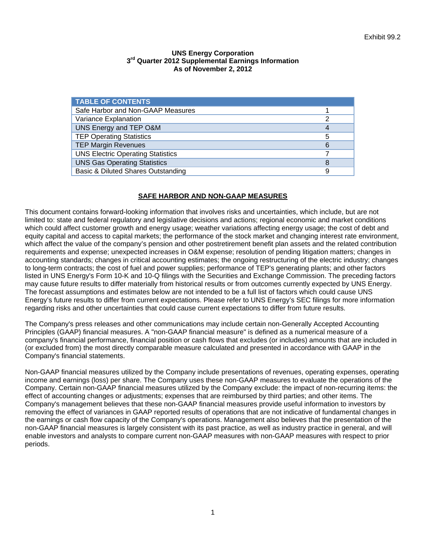# **UNS Energy Corporation 3rd Quarter 2012 Supplemental Earnings Information As of November 2, 2012**

| <b>TABLE OF CONTENTS</b>                 |   |
|------------------------------------------|---|
| Safe Harbor and Non-GAAP Measures        |   |
| Variance Explanation                     | 2 |
| UNS Energy and TEP O&M                   |   |
| <b>TEP Operating Statistics</b>          | 5 |
| <b>TEP Margin Revenues</b>               | 6 |
| <b>UNS Electric Operating Statistics</b> |   |
| <b>UNS Gas Operating Statistics</b>      | 8 |
| Basic & Diluted Shares Outstanding       | 9 |

# **SAFE HARBOR AND NON-GAAP MEASURES**

This document contains forward-looking information that involves risks and uncertainties, which include, but are not limited to: state and federal regulatory and legislative decisions and actions; regional economic and market conditions which could affect customer growth and energy usage; weather variations affecting energy usage; the cost of debt and equity capital and access to capital markets; the performance of the stock market and changing interest rate environment, which affect the value of the company's pension and other postretirement benefit plan assets and the related contribution requirements and expense; unexpected increases in O&M expense; resolution of pending litigation matters; changes in accounting standards; changes in critical accounting estimates; the ongoing restructuring of the electric industry; changes to long-term contracts; the cost of fuel and power supplies; performance of TEP's generating plants; and other factors listed in UNS Energy's Form 10-K and 10-Q filings with the Securities and Exchange Commission. The preceding factors may cause future results to differ materially from historical results or from outcomes currently expected by UNS Energy. The forecast assumptions and estimates below are not intended to be a full list of factors which could cause UNS Energy's future results to differ from current expectations. Please refer to UNS Energy's SEC filings for more information regarding risks and other uncertainties that could cause current expectations to differ from future results.

The Company's press releases and other communications may include certain non-Generally Accepted Accounting Principles (GAAP) financial measures. A "non-GAAP financial measure" is defined as a numerical measure of a company's financial performance, financial position or cash flows that excludes (or includes) amounts that are included in (or excluded from) the most directly comparable measure calculated and presented in accordance with GAAP in the Company's financial statements.

Non-GAAP financial measures utilized by the Company include presentations of revenues, operating expenses, operating income and earnings (loss) per share. The Company uses these non-GAAP measures to evaluate the operations of the Company. Certain non-GAAP financial measures utilized by the Company exclude: the impact of non-recurring items: the effect of accounting changes or adjustments; expenses that are reimbursed by third parties; and other items. The Company's management believes that these non-GAAP financial measures provide useful information to investors by removing the effect of variances in GAAP reported results of operations that are not indicative of fundamental changes in the earnings or cash flow capacity of the Company's operations. Management also believes that the presentation of the non-GAAP financial measures is largely consistent with its past practice, as well as industry practice in general, and will enable investors and analysts to compare current non-GAAP measures with non-GAAP measures with respect to prior periods.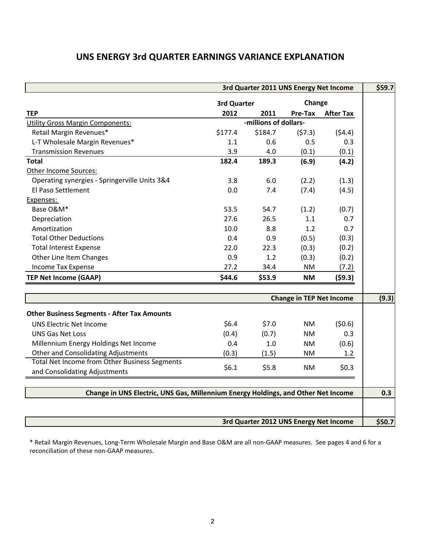# **UNS ENERGY 3rd QUARTER EARNINGS VARIANCE EXPLANATION**

| 3rd Quarter 2011 UNS Energy Net Income                                            |             |                                        |                                 |                  |        |  |
|-----------------------------------------------------------------------------------|-------------|----------------------------------------|---------------------------------|------------------|--------|--|
|                                                                                   | 3rd Quarter |                                        | Change                          |                  |        |  |
| <b>TEP</b>                                                                        | 2012        | 2011                                   | Pre-Tax                         | <b>After Tax</b> |        |  |
| <b>Utility Gross Margin Components:</b>                                           |             | -millions of dollars-                  |                                 |                  |        |  |
| Retail Margin Revenues*                                                           | \$177.4     | \$184.7                                | (57.3)                          | (54.4)           |        |  |
| L-T Wholesale Margin Revenues*                                                    | 1.1         | 0.6                                    | 0.5                             | 0.3              |        |  |
| <b>Transmission Revenues</b>                                                      | 3.9         | 4.0                                    | (0.1)                           | (0.1)            |        |  |
| <b>Total</b>                                                                      | 182.4       | 189.3                                  | (6.9)                           | (4.2)            |        |  |
| Other Income Sources:                                                             |             |                                        |                                 |                  |        |  |
| Operating synergies - Springerville Units 3&4                                     | 3.8         | 6.0                                    | (2.2)                           | (1.3)            |        |  |
| El Paso Settlement                                                                | 0.0         | 7.4                                    | (7.4)                           | (4.5)            |        |  |
| Expenses:                                                                         |             |                                        |                                 |                  |        |  |
| Base O&M*                                                                         | 53.5        | 54.7                                   | (1.2)                           | (0.7)            |        |  |
| Depreciation                                                                      | 27.6        | 26.5                                   | 1.1                             | 0.7              |        |  |
| Amortization                                                                      | 10.0        | 8.8                                    | 1.2                             | 0.7              |        |  |
| <b>Total Other Deductions</b>                                                     | 0.4         | 0.9                                    | (0.5)                           | (0.3)            |        |  |
| <b>Total Interest Expense</b>                                                     | 22.0        | 22.3                                   | (0.3)                           | (0.2)            |        |  |
| Other Line Item Changes                                                           | 0.9         | 1.2                                    | (0.3)                           | (0.2)            |        |  |
| Income Tax Expense                                                                | 27.2        | 34.4                                   | <b>NM</b>                       | (7.2)            |        |  |
| <b>TEP Net Income (GAAP)</b>                                                      | \$44.6      | \$53.9                                 | <b>NM</b>                       | (59.3)           |        |  |
|                                                                                   |             |                                        | <b>Change in TEP Net Income</b> |                  | (9.3)  |  |
|                                                                                   |             |                                        |                                 |                  |        |  |
| <b>Other Business Segments - After Tax Amounts</b>                                |             |                                        |                                 |                  |        |  |
| UNS Electric Net Income                                                           | \$6.4       | \$7.0                                  | <b>NM</b>                       | (50.6)           |        |  |
| <b>UNS Gas Net Loss</b>                                                           | (0.4)       | (0.7)                                  | <b>NM</b>                       | 0.3              |        |  |
| Millennium Energy Holdings Net Income                                             | 0.4         | 1.0                                    | <b>NM</b>                       | (0.6)            |        |  |
| <b>Other and Consolidating Adjustments</b>                                        | (0.3)       | (1.5)                                  | <b>NM</b>                       | 1.2 <sub>2</sub> |        |  |
| Total Net Income from Other Business Segments                                     |             |                                        |                                 |                  |        |  |
| and Consolidating Adjustments                                                     | \$6.1       | \$5.8                                  | <b>NM</b>                       | \$0.3\$          |        |  |
| Change in UNS Electric, UNS Gas, Millennium Energy Holdings, and Other Net Income |             |                                        |                                 |                  |        |  |
|                                                                                   |             |                                        |                                 |                  |        |  |
|                                                                                   |             | 3rd Quarter 2012 UNS Energy Net Income |                                 |                  | \$50.7 |  |

\* Retail Margin Revenues, Long‐Term Wholesale Margin and Base O&M are all non‐GAAP measures. See pages 4 and 6 for a reconciliation of these non‐GAAP measures.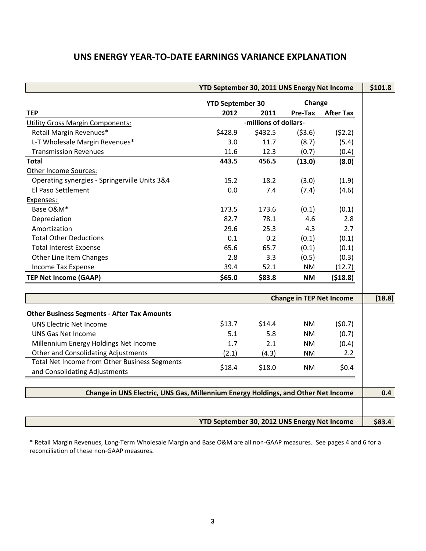# **UNS ENERGY YEAR‐TO‐DATE EARNINGS VARIANCE EXPLANATION**

| YTD September 30, 2011 UNS Energy Net Income                                      |                                              |                       |                                 |                  |        |  |
|-----------------------------------------------------------------------------------|----------------------------------------------|-----------------------|---------------------------------|------------------|--------|--|
|                                                                                   | <b>YTD September 30</b>                      |                       | Change                          |                  |        |  |
| <b>TEP</b>                                                                        | 2012                                         | 2011                  | Pre-Tax                         | <b>After Tax</b> |        |  |
| <b>Utility Gross Margin Components:</b>                                           |                                              | -millions of dollars- |                                 |                  |        |  |
| Retail Margin Revenues*                                                           | \$428.9                                      | \$432.5               | (53.6)                          | (52.2)           |        |  |
| L-T Wholesale Margin Revenues*                                                    | 3.0                                          | 11.7                  | (8.7)                           | (5.4)            |        |  |
| <b>Transmission Revenues</b>                                                      | 11.6                                         | 12.3                  | (0.7)                           | (0.4)            |        |  |
| <b>Total</b>                                                                      | 443.5                                        | 456.5                 | (13.0)                          | (8.0)            |        |  |
| Other Income Sources:                                                             |                                              |                       |                                 |                  |        |  |
| Operating synergies - Springerville Units 3&4                                     | 15.2                                         | 18.2                  | (3.0)                           | (1.9)            |        |  |
| El Paso Settlement                                                                | 0.0                                          | 7.4                   | (7.4)                           | (4.6)            |        |  |
| Expenses:                                                                         |                                              |                       |                                 |                  |        |  |
| Base O&M*                                                                         | 173.5                                        | 173.6                 | (0.1)                           | (0.1)            |        |  |
| Depreciation                                                                      | 82.7                                         | 78.1                  | 4.6                             | 2.8              |        |  |
| Amortization                                                                      | 29.6                                         | 25.3                  | 4.3                             | 2.7              |        |  |
| <b>Total Other Deductions</b>                                                     | 0.1                                          | 0.2                   | (0.1)                           | (0.1)            |        |  |
| <b>Total Interest Expense</b>                                                     | 65.6                                         | 65.7                  | (0.1)                           | (0.1)            |        |  |
| Other Line Item Changes                                                           | 2.8                                          | 3.3                   | (0.5)                           | (0.3)            |        |  |
| Income Tax Expense                                                                | 39.4                                         | 52.1                  | <b>NM</b>                       | (12.7)           |        |  |
| <b>TEP Net Income (GAAP)</b>                                                      | \$65.0                                       | \$83.8                | <b>NM</b>                       | (518.8)          |        |  |
|                                                                                   |                                              |                       | <b>Change in TEP Net Income</b> | (18.8)           |        |  |
|                                                                                   |                                              |                       |                                 |                  |        |  |
| <b>Other Business Segments - After Tax Amounts</b>                                |                                              |                       |                                 |                  |        |  |
| <b>UNS Electric Net Income</b>                                                    | \$13.7                                       | \$14.4                | <b>NM</b>                       | (50.7)           |        |  |
| <b>UNS Gas Net Income</b>                                                         | 5.1                                          | 5.8                   | <b>NM</b>                       | (0.7)            |        |  |
| Millennium Energy Holdings Net Income                                             | 1.7                                          | 2.1                   | <b>NM</b>                       | (0.4)            |        |  |
| <b>Other and Consolidating Adjustments</b>                                        | (2.1)                                        | (4.3)                 | <b>NM</b>                       | 2.2              |        |  |
| <b>Total Net Income from Other Business Segments</b>                              |                                              |                       |                                 |                  |        |  |
| and Consolidating Adjustments                                                     | \$18.4                                       | \$18.0                | <b>NM</b>                       | \$0.4\$          |        |  |
| Change in UNS Electric, UNS Gas, Millennium Energy Holdings, and Other Net Income |                                              |                       |                                 |                  |        |  |
|                                                                                   |                                              |                       |                                 |                  |        |  |
|                                                                                   | YTD September 30, 2012 UNS Energy Net Income |                       |                                 |                  | \$83.4 |  |

\* Retail Margin Revenues, Long‐Term Wholesale Margin and Base O&M are all non‐GAAP measures. See pages 4 and 6 for a reconciliation of these non‐GAAP measures.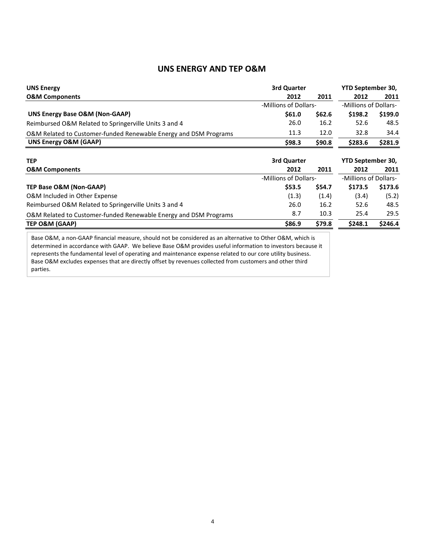# **UNS ENERGY AND TEP O&M**

| <b>UNS Energy</b>                                                                                         | 3rd Quarter           |        | YTD September 30,     |         |  |
|-----------------------------------------------------------------------------------------------------------|-----------------------|--------|-----------------------|---------|--|
| <b>O&amp;M Components</b>                                                                                 | 2012                  | 2011   | 2012                  | 2011    |  |
|                                                                                                           | -Millions of Dollars- |        | -Millions of Dollars- |         |  |
| UNS Energy Base O&M (Non-GAAP)                                                                            | \$61.0                | \$62.6 | \$198.2               | \$199.0 |  |
| Reimbursed O&M Related to Springerville Units 3 and 4                                                     | 26.0                  | 16.2   | 52.6                  | 48.5    |  |
| O&M Related to Customer-funded Renewable Energy and DSM Programs                                          | 11.3                  | 12.0   | 32.8                  | 34.4    |  |
| UNS Energy O&M (GAAP)                                                                                     | \$98.3                | \$90.8 | \$283.6               | \$281.9 |  |
| <b>TEP</b>                                                                                                | 3rd Quarter           |        | YTD September 30,     |         |  |
| <b>O&amp;M Components</b>                                                                                 | 2012                  | 2011   | 2012                  | 2011    |  |
|                                                                                                           | -Millions of Dollars- |        | -Millions of Dollars- |         |  |
| TEP Base O&M (Non-GAAP)                                                                                   | \$53.5                | \$54.7 | \$173.5               | \$173.6 |  |
| O&M Included in Other Expense                                                                             | (1.3)                 | (1.4)  | (3.4)                 | (5.2)   |  |
| Reimbursed O&M Related to Springerville Units 3 and 4                                                     | 26.0                  | 16.2   | 52.6                  | 48.5    |  |
| O&M Related to Customer-funded Renewable Energy and DSM Programs                                          | 8.7                   | 10.3   | 25.4                  | 29.5    |  |
| TEP O&M (GAAP)                                                                                            | \$86.9                | \$79.8 | \$248.1               | \$246.4 |  |
| Base O&M, a non-GAAP financial measure, should not be considered as an alternative to Other O&M, which is |                       |        |                       |         |  |

determined in accordance with GAAP. We believe Base O&M provides useful information to investors because it represents the fundamental level of operating and maintenance expense related to our core utility business. Base O&M excludes expenses that are directly offset by revenues collected from customers and other third parties.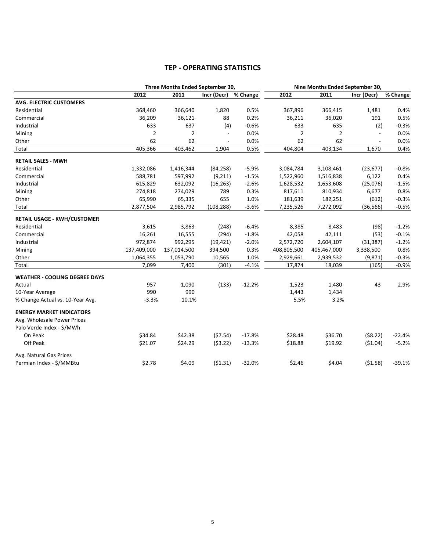# **TEP ‐ OPERATING STATISTICS**

|                                      |                | Three Months Ended September 30, |             |          | Nine Months Ended September 30, |                |             |          |
|--------------------------------------|----------------|----------------------------------|-------------|----------|---------------------------------|----------------|-------------|----------|
|                                      | 2012           | 2011                             | Incr (Decr) | % Change | 2012                            | 2011           | Incr (Decr) | % Change |
| <b>AVG. ELECTRIC CUSTOMERS</b>       |                |                                  |             |          |                                 |                |             |          |
| Residential                          | 368,460        | 366,640                          | 1,820       | 0.5%     | 367,896                         | 366,415        | 1,481       | 0.4%     |
| Commercial                           | 36,209         | 36,121                           | 88          | 0.2%     | 36,211                          | 36,020         | 191         | 0.5%     |
| Industrial                           | 633            | 637                              | (4)         | $-0.6%$  | 633                             | 635            | (2)         | $-0.3%$  |
| Mining                               | $\overline{2}$ | $\overline{2}$                   |             | 0.0%     | $\overline{2}$                  | $\overline{2}$ |             | 0.0%     |
| Other                                | 62             | 62                               |             | 0.0%     | 62                              | 62             |             | 0.0%     |
| Total                                | 405,366        | 403,462                          | 1,904       | 0.5%     | 404,804                         | 403,134        | 1,670       | 0.4%     |
| <b>RETAIL SALES - MWH</b>            |                |                                  |             |          |                                 |                |             |          |
| Residential                          | 1,332,086      | 1,416,344                        | (84, 258)   | $-5.9%$  | 3,084,784                       | 3,108,461      | (23, 677)   | $-0.8%$  |
| Commercial                           | 588,781        | 597,992                          | (9,211)     | $-1.5%$  | 1,522,960                       | 1,516,838      | 6,122       | 0.4%     |
| Industrial                           | 615,829        | 632,092                          | (16, 263)   | $-2.6%$  | 1,628,532                       | 1,653,608      | (25,076)    | $-1.5%$  |
| Mining                               | 274,818        | 274,029                          | 789         | 0.3%     | 817,611                         | 810,934        | 6,677       | 0.8%     |
| Other                                | 65,990         | 65,335                           | 655         | 1.0%     | 181,639                         | 182,251        | (612)       | $-0.3%$  |
| Total                                | 2,877,504      | 2,985,792                        | (108, 288)  | $-3.6%$  | 7,235,526                       | 7,272,092      | (36, 566)   | $-0.5%$  |
| <b>RETAIL USAGE - KWH/CUSTOMER</b>   |                |                                  |             |          |                                 |                |             |          |
| Residential                          | 3,615          | 3,863                            | (248)       | $-6.4%$  | 8,385                           | 8,483          | (98)        | $-1.2%$  |
| Commercial                           | 16,261         | 16,555                           | (294)       | $-1.8%$  | 42,058                          | 42,111         | (53)        | $-0.1%$  |
| Industrial                           | 972,874        | 992,295                          | (19, 421)   | $-2.0%$  | 2,572,720                       | 2,604,107      | (31, 387)   | $-1.2%$  |
| Mining                               | 137,409,000    | 137,014,500                      | 394,500     | 0.3%     | 408,805,500                     | 405,467,000    | 3,338,500   | 0.8%     |
| Other                                | 1,064,355      | 1,053,790                        | 10,565      | 1.0%     | 2,929,661                       | 2,939,532      | (9, 871)    | $-0.3%$  |
| Total                                | 7,099          | 7,400                            | (301)       | $-4.1%$  | 17,874                          | 18,039         | (165)       | $-0.9%$  |
| <b>WEATHER - COOLING DEGREE DAYS</b> |                |                                  |             |          |                                 |                |             |          |
| Actual                               | 957            | 1,090                            | (133)       | $-12.2%$ | 1,523                           | 1,480          | 43          | 2.9%     |
| 10-Year Average                      | 990            | 990                              |             |          | 1,443                           | 1,434          |             |          |
| % Change Actual vs. 10-Year Avg.     | $-3.3%$        | 10.1%                            |             |          | 5.5%                            | 3.2%           |             |          |
| <b>ENERGY MARKET INDICATORS</b>      |                |                                  |             |          |                                 |                |             |          |
| Avg. Wholesale Power Prices          |                |                                  |             |          |                                 |                |             |          |
| Palo Verde Index - \$/MWh            |                |                                  |             |          |                                 |                |             |          |
| On Peak                              | \$34.84        | \$42.38                          | (57.54)     | $-17.8%$ | \$28.48                         | \$36.70        | (58.22)     | $-22.4%$ |
| Off Peak                             | \$21.07        | \$24.29                          | (53.22)     | $-13.3%$ | \$18.88                         | \$19.92        | (51.04)     | $-5.2%$  |
| Avg. Natural Gas Prices              |                |                                  |             |          |                                 |                |             |          |
| Permian Index - \$/MMBtu             | \$2.78         | \$4.09                           | (51.31)     | $-32.0%$ | \$2.46                          | \$4.04         | (51.58)     | $-39.1%$ |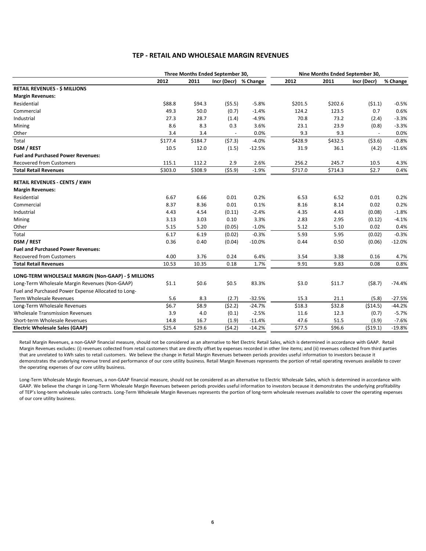#### **TEP ‐ RETAIL AND WHOLESALE MARGIN REVENUES**

|                                                     |         |         | Three Months Ended September 30, |          |         | Nine Months Ended September 30, |             |          |
|-----------------------------------------------------|---------|---------|----------------------------------|----------|---------|---------------------------------|-------------|----------|
|                                                     | 2012    | 2011    | Incr (Decr)                      | % Change | 2012    | 2011                            | Incr (Decr) | % Change |
| <b>RETAIL REVENUES - \$ MILLIONS</b>                |         |         |                                  |          |         |                                 |             |          |
| <b>Margin Revenues:</b>                             |         |         |                                  |          |         |                                 |             |          |
| Residential                                         | \$88.8  | \$94.3  | (55.5)                           | $-5.8%$  | \$201.5 | \$202.6                         | (51.1)      | $-0.5%$  |
| Commercial                                          | 49.3    | 50.0    | (0.7)                            | $-1.4%$  | 124.2   | 123.5                           | 0.7         | 0.6%     |
| Industrial                                          | 27.3    | 28.7    | (1.4)                            | $-4.9%$  | 70.8    | 73.2                            | (2.4)       | $-3.3%$  |
| Mining                                              | 8.6     | 8.3     | 0.3                              | 3.6%     | 23.1    | 23.9                            | (0.8)       | $-3.3%$  |
| Other                                               | 3.4     | 3.4     |                                  | 0.0%     | 9.3     | 9.3                             |             | 0.0%     |
| Total                                               | \$177.4 | \$184.7 | (57.3)                           | $-4.0%$  | \$428.9 | \$432.5                         | ( \$3.6)    | $-0.8%$  |
| DSM / REST                                          | 10.5    | 12.0    | (1.5)                            | $-12.5%$ | 31.9    | 36.1                            | (4.2)       | $-11.6%$ |
| <b>Fuel and Purchased Power Revenues:</b>           |         |         |                                  |          |         |                                 |             |          |
| <b>Recovered from Customers</b>                     | 115.1   | 112.2   | 2.9                              | 2.6%     | 256.2   | 245.7                           | 10.5        | 4.3%     |
| <b>Total Retail Revenues</b>                        | \$303.0 | \$308.9 | (55.9)                           | $-1.9%$  | \$717.0 | \$714.3                         | \$2.7       | 0.4%     |
| <b>RETAIL REVENUES - CENTS / KWH</b>                |         |         |                                  |          |         |                                 |             |          |
| <b>Margin Revenues:</b>                             |         |         |                                  |          |         |                                 |             |          |
| Residential                                         | 6.67    | 6.66    | 0.01                             | 0.2%     | 6.53    | 6.52                            | 0.01        | 0.2%     |
| Commercial                                          | 8.37    | 8.36    | 0.01                             | 0.1%     | 8.16    | 8.14                            | 0.02        | 0.2%     |
| Industrial                                          | 4.43    | 4.54    | (0.11)                           | $-2.4%$  | 4.35    | 4.43                            | (0.08)      | $-1.8%$  |
| Mining                                              | 3.13    | 3.03    | 0.10                             | 3.3%     | 2.83    | 2.95                            | (0.12)      | $-4.1%$  |
| Other                                               | 5.15    | 5.20    | (0.05)                           | $-1.0%$  | 5.12    | 5.10                            | 0.02        | 0.4%     |
| Total                                               | 6.17    | 6.19    | (0.02)                           | $-0.3%$  | 5.93    | 5.95                            | (0.02)      | $-0.3%$  |
| <b>DSM / REST</b>                                   | 0.36    | 0.40    | (0.04)                           | $-10.0%$ | 0.44    | 0.50                            | (0.06)      | $-12.0%$ |
| <b>Fuel and Purchased Power Revenues:</b>           |         |         |                                  |          |         |                                 |             |          |
| <b>Recovered from Customers</b>                     | 4.00    | 3.76    | 0.24                             | 6.4%     | 3.54    | 3.38                            | 0.16        | 4.7%     |
| <b>Total Retail Revenues</b>                        | 10.53   | 10.35   | 0.18                             | 1.7%     | 9.91    | 9.83                            | 0.08        | 0.8%     |
| LONG-TERM WHOLESALE MARGIN (Non-GAAP) - \$ MILLIONS |         |         |                                  |          |         |                                 |             |          |
| Long-Term Wholesale Margin Revenues (Non-GAAP)      | \$1.1   | \$0.6   | \$0.5                            | 83.3%    | \$3.0   | \$11.7                          | (58.7)      | $-74.4%$ |
| Fuel and Purchased Power Expense Allocated to Long- |         |         |                                  |          |         |                                 |             |          |
| Term Wholesale Revenues                             | 5.6     | 8.3     | (2.7)                            | $-32.5%$ | 15.3    | 21.1                            | (5.8)       | $-27.5%$ |
| Long-Term Wholesale Revenues                        | \$6.7   | \$8.9   | (52.2)                           | $-24.7%$ | \$18.3  | \$32.8                          | (514.5)     | $-44.2%$ |
| <b>Wholesale Transmission Revenues</b>              | 3.9     | 4.0     | (0.1)                            | $-2.5%$  | 11.6    | 12.3                            | (0.7)       | $-5.7%$  |
| Short-term Wholesale Revenues                       | 14.8    | 16.7    | (1.9)                            | $-11.4%$ | 47.6    | 51.5                            | (3.9)       | $-7.6%$  |
| <b>Electric Wholesale Sales (GAAP)</b>              | \$25.4  | \$29.6  | (54.2)                           | $-14.2%$ | \$77.5  | \$96.6                          | (519.1)     | $-19.8%$ |

Retail Margin Revenues, a non-GAAP financial measure, should not be considered as an alternative to Net Electric Retail Sales, which is determined in accordance with GAAP. Retail Margin Revenues excludes: (i) revenues collected from retail customers that are directly offset by expenses recorded in other line items; and (ii) revenues collected from third parties that are unrelated to kWh sales to retail customers. We believe the change in Retail Margin Revenues between periods provides useful information to investors because it demonstrates the underlying revenue trend and performance of our core utility business. Retail Margin Revenues represents the portion of retail operating revenues available to cover the operating expenses of our core utility business.

Long-Term Wholesale Margin Revenues, a non-GAAP financial measure, should not be considered as an alternative to Electric Wholesale Sales, which is determined in accordance with GAAP. We believe the change in Long-Term Wholesale Margin Revenues between periods provides useful information to investors because it demonstrates the underlying profitability of TEP's long‐term wholesale sales contracts. Long‐Term Wholesale Margin Revenues represents the portion of long‐term wholesale revenues available to cover the operating expenses of our core utility business.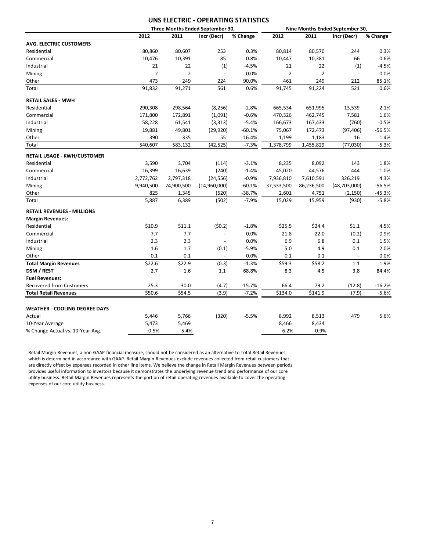# **UNS ELECTRIC ‐ OPERATING STATISTICS**

| 2012<br>2011<br>Incr (Decr)<br>2012<br>2011<br>% Change<br>Incr (Decr)<br>% Change<br>80,860<br>80,607<br>253<br>0.3%<br>80,570<br>244<br>80,814<br>0.3%<br>85<br>0.8%<br>0.6%<br>10,476<br>10,391<br>10,447<br>10,381<br>66<br>22<br>21<br>22<br>(1)<br>$-4.5%$<br>21<br>(1)<br>$-4.5%$<br>$\overline{2}$<br>$\overline{2}$<br>$\overline{2}$<br>$\overline{2}$<br>0.0%<br>0.0%<br>$\Box$<br>473<br>249<br>90.0%<br>249<br>85.1%<br>224<br>461<br>212<br>561<br>521<br>91,832<br>91,271<br>0.6%<br>91,745<br>91,224<br>0.6%<br>290,308<br>298,564<br>(8, 256)<br>$-2.8%$<br>665,534<br>651,995<br>13,539<br>2.1%<br>$-0.6%$<br>171,800<br>172,891<br>(1,091)<br>470,326<br>462,745<br>1.6%<br>7,581<br>$-5.4%$<br>$-0.5%$<br>58,228<br>61,541<br>(3, 313)<br>166,673<br>167,433<br>(760)<br>19,881<br>49,801<br>(29, 920)<br>$-60.1%$<br>75,067<br>172,473<br>(97, 406)<br>$-56.5%$<br>390<br>335<br>16.4%<br>16<br>55<br>1,199<br>1,183<br>1.4%<br>540,607<br>583,132<br>(42, 525)<br>$-7.3%$<br>$-5.3%$<br>1,378,799<br>1,455,829<br>(77,030)<br>3,590<br>3,704<br>$-3.1%$<br>8,092<br>143<br>1.8%<br>(114)<br>8,235<br>16,639<br>(240)<br>$-1.4%$<br>44,576<br>444<br>1.0%<br>16,399<br>45,020<br>4.3%<br>2,772,762<br>2,797,318<br>(24, 556)<br>$-0.9%$<br>7,610,591<br>326,219<br>7,936,810<br>$-60.1%$<br>9,940,500<br>24,900,500<br>(14,960,000)<br>37,533,500<br>86,236,500<br>(48,703,000)<br>$-56.5%$<br>825<br>1,345<br>$-38.7%$<br>2,601<br>4,751<br>(520)<br>(2, 150)<br>$-45.3%$<br>5,887<br>6,389<br>$-7.9%$<br>15,959<br>$-5.8%$<br>(502)<br>15,029<br>(930)<br>(50.2)<br>\$10.9<br>\$11.1<br>$-1.8%$<br>\$25.5<br>\$24.4<br>\$1.1<br>4.5%<br>7.7<br>7.7<br>0.0%<br>21.8<br>22.0<br>(0.2)<br>$-0.9%$<br>$\blacksquare$<br>2.3<br>2.3<br>0.0%<br>6.8<br>6.9<br>0.1<br>1.5%<br>$\blacksquare$<br>1.6<br>1.7<br>(0.1)<br>$-5.9%$<br>5.0<br>4.9<br>0.1<br>2.0%<br>0.1<br>0.1<br>0.0%<br>0.1<br>0.1<br>0.0%<br>$\blacksquare$<br>\$22.6<br>\$58.2<br>\$22.9<br>$-1.3%$<br>\$59.3<br>1.9%<br>(0.3)<br>1.1<br>2.7<br>1.6<br>68.8%<br>8.3<br>4.5<br>3.8<br>84.4%<br>1.1<br>25.3<br>30.0<br>(4.7)<br>$-15.7%$<br>66.4<br>79.2<br>(12.8)<br>$-16.2%$<br>\$50.6<br>554.5<br>\$134.0<br>\$141.9<br>(3.9)<br>$-7.2%$<br>(7.9)<br>$-5.6%$<br><b>WEATHER - COOLING DEGREE DAYS</b><br>5.6%<br>5,766<br>(320)<br>$-5.5%$<br>8,992<br>8,513<br>479<br>Actual<br>5,446<br>10-Year Average<br>5,473<br>5,469<br>8,466<br>8,434 |                                    |         |      | Three Months Ended September 30, | Nine Months Ended September 30, |      |  |  |
|------------------------------------------------------------------------------------------------------------------------------------------------------------------------------------------------------------------------------------------------------------------------------------------------------------------------------------------------------------------------------------------------------------------------------------------------------------------------------------------------------------------------------------------------------------------------------------------------------------------------------------------------------------------------------------------------------------------------------------------------------------------------------------------------------------------------------------------------------------------------------------------------------------------------------------------------------------------------------------------------------------------------------------------------------------------------------------------------------------------------------------------------------------------------------------------------------------------------------------------------------------------------------------------------------------------------------------------------------------------------------------------------------------------------------------------------------------------------------------------------------------------------------------------------------------------------------------------------------------------------------------------------------------------------------------------------------------------------------------------------------------------------------------------------------------------------------------------------------------------------------------------------------------------------------------------------------------------------------------------------------------------------------------------------------------------------------------------------------------------------------------------------------------------------------------------------------------------------------------------------------------------------------------------------------------------------------------------------------------------------------------------------------------------------------|------------------------------------|---------|------|----------------------------------|---------------------------------|------|--|--|
|                                                                                                                                                                                                                                                                                                                                                                                                                                                                                                                                                                                                                                                                                                                                                                                                                                                                                                                                                                                                                                                                                                                                                                                                                                                                                                                                                                                                                                                                                                                                                                                                                                                                                                                                                                                                                                                                                                                                                                                                                                                                                                                                                                                                                                                                                                                                                                                                                              |                                    |         |      |                                  |                                 |      |  |  |
|                                                                                                                                                                                                                                                                                                                                                                                                                                                                                                                                                                                                                                                                                                                                                                                                                                                                                                                                                                                                                                                                                                                                                                                                                                                                                                                                                                                                                                                                                                                                                                                                                                                                                                                                                                                                                                                                                                                                                                                                                                                                                                                                                                                                                                                                                                                                                                                                                              | <b>AVG. ELECTRIC CUSTOMERS</b>     |         |      |                                  |                                 |      |  |  |
|                                                                                                                                                                                                                                                                                                                                                                                                                                                                                                                                                                                                                                                                                                                                                                                                                                                                                                                                                                                                                                                                                                                                                                                                                                                                                                                                                                                                                                                                                                                                                                                                                                                                                                                                                                                                                                                                                                                                                                                                                                                                                                                                                                                                                                                                                                                                                                                                                              | Residential                        |         |      |                                  |                                 |      |  |  |
|                                                                                                                                                                                                                                                                                                                                                                                                                                                                                                                                                                                                                                                                                                                                                                                                                                                                                                                                                                                                                                                                                                                                                                                                                                                                                                                                                                                                                                                                                                                                                                                                                                                                                                                                                                                                                                                                                                                                                                                                                                                                                                                                                                                                                                                                                                                                                                                                                              | Commercial                         |         |      |                                  |                                 |      |  |  |
|                                                                                                                                                                                                                                                                                                                                                                                                                                                                                                                                                                                                                                                                                                                                                                                                                                                                                                                                                                                                                                                                                                                                                                                                                                                                                                                                                                                                                                                                                                                                                                                                                                                                                                                                                                                                                                                                                                                                                                                                                                                                                                                                                                                                                                                                                                                                                                                                                              | Industrial                         |         |      |                                  |                                 |      |  |  |
|                                                                                                                                                                                                                                                                                                                                                                                                                                                                                                                                                                                                                                                                                                                                                                                                                                                                                                                                                                                                                                                                                                                                                                                                                                                                                                                                                                                                                                                                                                                                                                                                                                                                                                                                                                                                                                                                                                                                                                                                                                                                                                                                                                                                                                                                                                                                                                                                                              | Mining                             |         |      |                                  |                                 |      |  |  |
|                                                                                                                                                                                                                                                                                                                                                                                                                                                                                                                                                                                                                                                                                                                                                                                                                                                                                                                                                                                                                                                                                                                                                                                                                                                                                                                                                                                                                                                                                                                                                                                                                                                                                                                                                                                                                                                                                                                                                                                                                                                                                                                                                                                                                                                                                                                                                                                                                              | Other                              |         |      |                                  |                                 |      |  |  |
|                                                                                                                                                                                                                                                                                                                                                                                                                                                                                                                                                                                                                                                                                                                                                                                                                                                                                                                                                                                                                                                                                                                                                                                                                                                                                                                                                                                                                                                                                                                                                                                                                                                                                                                                                                                                                                                                                                                                                                                                                                                                                                                                                                                                                                                                                                                                                                                                                              | Total                              |         |      |                                  |                                 |      |  |  |
|                                                                                                                                                                                                                                                                                                                                                                                                                                                                                                                                                                                                                                                                                                                                                                                                                                                                                                                                                                                                                                                                                                                                                                                                                                                                                                                                                                                                                                                                                                                                                                                                                                                                                                                                                                                                                                                                                                                                                                                                                                                                                                                                                                                                                                                                                                                                                                                                                              | <b>RETAIL SALES - MWH</b>          |         |      |                                  |                                 |      |  |  |
|                                                                                                                                                                                                                                                                                                                                                                                                                                                                                                                                                                                                                                                                                                                                                                                                                                                                                                                                                                                                                                                                                                                                                                                                                                                                                                                                                                                                                                                                                                                                                                                                                                                                                                                                                                                                                                                                                                                                                                                                                                                                                                                                                                                                                                                                                                                                                                                                                              | Residential                        |         |      |                                  |                                 |      |  |  |
|                                                                                                                                                                                                                                                                                                                                                                                                                                                                                                                                                                                                                                                                                                                                                                                                                                                                                                                                                                                                                                                                                                                                                                                                                                                                                                                                                                                                                                                                                                                                                                                                                                                                                                                                                                                                                                                                                                                                                                                                                                                                                                                                                                                                                                                                                                                                                                                                                              | Commercial                         |         |      |                                  |                                 |      |  |  |
|                                                                                                                                                                                                                                                                                                                                                                                                                                                                                                                                                                                                                                                                                                                                                                                                                                                                                                                                                                                                                                                                                                                                                                                                                                                                                                                                                                                                                                                                                                                                                                                                                                                                                                                                                                                                                                                                                                                                                                                                                                                                                                                                                                                                                                                                                                                                                                                                                              | Industrial                         |         |      |                                  |                                 |      |  |  |
|                                                                                                                                                                                                                                                                                                                                                                                                                                                                                                                                                                                                                                                                                                                                                                                                                                                                                                                                                                                                                                                                                                                                                                                                                                                                                                                                                                                                                                                                                                                                                                                                                                                                                                                                                                                                                                                                                                                                                                                                                                                                                                                                                                                                                                                                                                                                                                                                                              | Mining                             |         |      |                                  |                                 |      |  |  |
|                                                                                                                                                                                                                                                                                                                                                                                                                                                                                                                                                                                                                                                                                                                                                                                                                                                                                                                                                                                                                                                                                                                                                                                                                                                                                                                                                                                                                                                                                                                                                                                                                                                                                                                                                                                                                                                                                                                                                                                                                                                                                                                                                                                                                                                                                                                                                                                                                              | Other                              |         |      |                                  |                                 |      |  |  |
|                                                                                                                                                                                                                                                                                                                                                                                                                                                                                                                                                                                                                                                                                                                                                                                                                                                                                                                                                                                                                                                                                                                                                                                                                                                                                                                                                                                                                                                                                                                                                                                                                                                                                                                                                                                                                                                                                                                                                                                                                                                                                                                                                                                                                                                                                                                                                                                                                              | Total                              |         |      |                                  |                                 |      |  |  |
|                                                                                                                                                                                                                                                                                                                                                                                                                                                                                                                                                                                                                                                                                                                                                                                                                                                                                                                                                                                                                                                                                                                                                                                                                                                                                                                                                                                                                                                                                                                                                                                                                                                                                                                                                                                                                                                                                                                                                                                                                                                                                                                                                                                                                                                                                                                                                                                                                              | <b>RETAIL USAGE - KWH/CUSTOMER</b> |         |      |                                  |                                 |      |  |  |
|                                                                                                                                                                                                                                                                                                                                                                                                                                                                                                                                                                                                                                                                                                                                                                                                                                                                                                                                                                                                                                                                                                                                                                                                                                                                                                                                                                                                                                                                                                                                                                                                                                                                                                                                                                                                                                                                                                                                                                                                                                                                                                                                                                                                                                                                                                                                                                                                                              | Residential                        |         |      |                                  |                                 |      |  |  |
|                                                                                                                                                                                                                                                                                                                                                                                                                                                                                                                                                                                                                                                                                                                                                                                                                                                                                                                                                                                                                                                                                                                                                                                                                                                                                                                                                                                                                                                                                                                                                                                                                                                                                                                                                                                                                                                                                                                                                                                                                                                                                                                                                                                                                                                                                                                                                                                                                              | Commercial                         |         |      |                                  |                                 |      |  |  |
|                                                                                                                                                                                                                                                                                                                                                                                                                                                                                                                                                                                                                                                                                                                                                                                                                                                                                                                                                                                                                                                                                                                                                                                                                                                                                                                                                                                                                                                                                                                                                                                                                                                                                                                                                                                                                                                                                                                                                                                                                                                                                                                                                                                                                                                                                                                                                                                                                              | Industrial                         |         |      |                                  |                                 |      |  |  |
|                                                                                                                                                                                                                                                                                                                                                                                                                                                                                                                                                                                                                                                                                                                                                                                                                                                                                                                                                                                                                                                                                                                                                                                                                                                                                                                                                                                                                                                                                                                                                                                                                                                                                                                                                                                                                                                                                                                                                                                                                                                                                                                                                                                                                                                                                                                                                                                                                              | Mining                             |         |      |                                  |                                 |      |  |  |
|                                                                                                                                                                                                                                                                                                                                                                                                                                                                                                                                                                                                                                                                                                                                                                                                                                                                                                                                                                                                                                                                                                                                                                                                                                                                                                                                                                                                                                                                                                                                                                                                                                                                                                                                                                                                                                                                                                                                                                                                                                                                                                                                                                                                                                                                                                                                                                                                                              | Other                              |         |      |                                  |                                 |      |  |  |
|                                                                                                                                                                                                                                                                                                                                                                                                                                                                                                                                                                                                                                                                                                                                                                                                                                                                                                                                                                                                                                                                                                                                                                                                                                                                                                                                                                                                                                                                                                                                                                                                                                                                                                                                                                                                                                                                                                                                                                                                                                                                                                                                                                                                                                                                                                                                                                                                                              | Total                              |         |      |                                  |                                 |      |  |  |
|                                                                                                                                                                                                                                                                                                                                                                                                                                                                                                                                                                                                                                                                                                                                                                                                                                                                                                                                                                                                                                                                                                                                                                                                                                                                                                                                                                                                                                                                                                                                                                                                                                                                                                                                                                                                                                                                                                                                                                                                                                                                                                                                                                                                                                                                                                                                                                                                                              | <b>RETAIL REVENUES - MILLIONS</b>  |         |      |                                  |                                 |      |  |  |
|                                                                                                                                                                                                                                                                                                                                                                                                                                                                                                                                                                                                                                                                                                                                                                                                                                                                                                                                                                                                                                                                                                                                                                                                                                                                                                                                                                                                                                                                                                                                                                                                                                                                                                                                                                                                                                                                                                                                                                                                                                                                                                                                                                                                                                                                                                                                                                                                                              | <b>Margin Revenues:</b>            |         |      |                                  |                                 |      |  |  |
|                                                                                                                                                                                                                                                                                                                                                                                                                                                                                                                                                                                                                                                                                                                                                                                                                                                                                                                                                                                                                                                                                                                                                                                                                                                                                                                                                                                                                                                                                                                                                                                                                                                                                                                                                                                                                                                                                                                                                                                                                                                                                                                                                                                                                                                                                                                                                                                                                              | Residential                        |         |      |                                  |                                 |      |  |  |
|                                                                                                                                                                                                                                                                                                                                                                                                                                                                                                                                                                                                                                                                                                                                                                                                                                                                                                                                                                                                                                                                                                                                                                                                                                                                                                                                                                                                                                                                                                                                                                                                                                                                                                                                                                                                                                                                                                                                                                                                                                                                                                                                                                                                                                                                                                                                                                                                                              | Commercial                         |         |      |                                  |                                 |      |  |  |
|                                                                                                                                                                                                                                                                                                                                                                                                                                                                                                                                                                                                                                                                                                                                                                                                                                                                                                                                                                                                                                                                                                                                                                                                                                                                                                                                                                                                                                                                                                                                                                                                                                                                                                                                                                                                                                                                                                                                                                                                                                                                                                                                                                                                                                                                                                                                                                                                                              | Industrial                         |         |      |                                  |                                 |      |  |  |
|                                                                                                                                                                                                                                                                                                                                                                                                                                                                                                                                                                                                                                                                                                                                                                                                                                                                                                                                                                                                                                                                                                                                                                                                                                                                                                                                                                                                                                                                                                                                                                                                                                                                                                                                                                                                                                                                                                                                                                                                                                                                                                                                                                                                                                                                                                                                                                                                                              | Mining                             |         |      |                                  |                                 |      |  |  |
|                                                                                                                                                                                                                                                                                                                                                                                                                                                                                                                                                                                                                                                                                                                                                                                                                                                                                                                                                                                                                                                                                                                                                                                                                                                                                                                                                                                                                                                                                                                                                                                                                                                                                                                                                                                                                                                                                                                                                                                                                                                                                                                                                                                                                                                                                                                                                                                                                              | Other                              |         |      |                                  |                                 |      |  |  |
|                                                                                                                                                                                                                                                                                                                                                                                                                                                                                                                                                                                                                                                                                                                                                                                                                                                                                                                                                                                                                                                                                                                                                                                                                                                                                                                                                                                                                                                                                                                                                                                                                                                                                                                                                                                                                                                                                                                                                                                                                                                                                                                                                                                                                                                                                                                                                                                                                              | <b>Total Margin Revenues</b>       |         |      |                                  |                                 |      |  |  |
|                                                                                                                                                                                                                                                                                                                                                                                                                                                                                                                                                                                                                                                                                                                                                                                                                                                                                                                                                                                                                                                                                                                                                                                                                                                                                                                                                                                                                                                                                                                                                                                                                                                                                                                                                                                                                                                                                                                                                                                                                                                                                                                                                                                                                                                                                                                                                                                                                              | DSM / REST                         |         |      |                                  |                                 |      |  |  |
|                                                                                                                                                                                                                                                                                                                                                                                                                                                                                                                                                                                                                                                                                                                                                                                                                                                                                                                                                                                                                                                                                                                                                                                                                                                                                                                                                                                                                                                                                                                                                                                                                                                                                                                                                                                                                                                                                                                                                                                                                                                                                                                                                                                                                                                                                                                                                                                                                              | <b>Fuel Revenues:</b>              |         |      |                                  |                                 |      |  |  |
|                                                                                                                                                                                                                                                                                                                                                                                                                                                                                                                                                                                                                                                                                                                                                                                                                                                                                                                                                                                                                                                                                                                                                                                                                                                                                                                                                                                                                                                                                                                                                                                                                                                                                                                                                                                                                                                                                                                                                                                                                                                                                                                                                                                                                                                                                                                                                                                                                              | <b>Recovered from Customers</b>    |         |      |                                  |                                 |      |  |  |
|                                                                                                                                                                                                                                                                                                                                                                                                                                                                                                                                                                                                                                                                                                                                                                                                                                                                                                                                                                                                                                                                                                                                                                                                                                                                                                                                                                                                                                                                                                                                                                                                                                                                                                                                                                                                                                                                                                                                                                                                                                                                                                                                                                                                                                                                                                                                                                                                                              | <b>Total Retail Revenues</b>       |         |      |                                  |                                 |      |  |  |
|                                                                                                                                                                                                                                                                                                                                                                                                                                                                                                                                                                                                                                                                                                                                                                                                                                                                                                                                                                                                                                                                                                                                                                                                                                                                                                                                                                                                                                                                                                                                                                                                                                                                                                                                                                                                                                                                                                                                                                                                                                                                                                                                                                                                                                                                                                                                                                                                                              |                                    |         |      |                                  |                                 |      |  |  |
|                                                                                                                                                                                                                                                                                                                                                                                                                                                                                                                                                                                                                                                                                                                                                                                                                                                                                                                                                                                                                                                                                                                                                                                                                                                                                                                                                                                                                                                                                                                                                                                                                                                                                                                                                                                                                                                                                                                                                                                                                                                                                                                                                                                                                                                                                                                                                                                                                              |                                    |         |      |                                  |                                 |      |  |  |
|                                                                                                                                                                                                                                                                                                                                                                                                                                                                                                                                                                                                                                                                                                                                                                                                                                                                                                                                                                                                                                                                                                                                                                                                                                                                                                                                                                                                                                                                                                                                                                                                                                                                                                                                                                                                                                                                                                                                                                                                                                                                                                                                                                                                                                                                                                                                                                                                                              |                                    |         |      |                                  |                                 |      |  |  |
|                                                                                                                                                                                                                                                                                                                                                                                                                                                                                                                                                                                                                                                                                                                                                                                                                                                                                                                                                                                                                                                                                                                                                                                                                                                                                                                                                                                                                                                                                                                                                                                                                                                                                                                                                                                                                                                                                                                                                                                                                                                                                                                                                                                                                                                                                                                                                                                                                              | % Change Actual vs. 10-Year Avg.   | $-0.5%$ | 5.4% |                                  | 6.2%                            | 0.9% |  |  |

Retail Margin Revenues, a non‐GAAP financial measure, should not be considered as an alternative to Total Retail Revenues, which is determined in accordance with GAAP. Retail Margin Revenues exclude revenues collected from retail customers that are directly offset by expenses recorded in other line items. We believe the change in Retail Margin Revenues between periods provides useful information to investors because it demonstrates the underlying revenue trend and performance of our core utility business. Retail Margin Revenues represents the portion of retail operating revenues available to cover the operating expenses of our core utility business.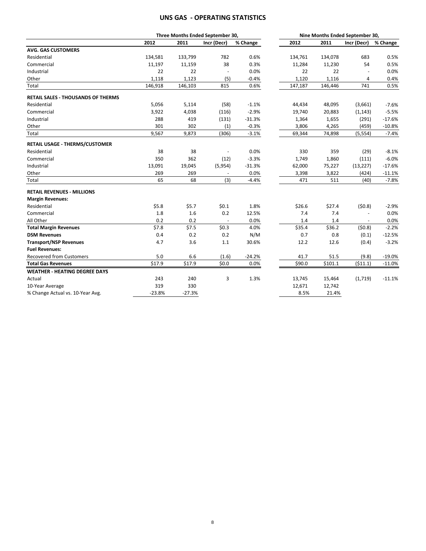# **UNS GAS ‐ OPERATING STATISTICS**

|                                       |          |          | Three Months Ended September 30, |          | Nine Months Ended September 30, |         |                |          |
|---------------------------------------|----------|----------|----------------------------------|----------|---------------------------------|---------|----------------|----------|
|                                       | 2012     | 2011     | Incr (Decr)                      | % Change | 2012                            | 2011    | Incr (Decr)    | % Change |
| <b>AVG. GAS CUSTOMERS</b>             |          |          |                                  |          |                                 |         |                |          |
| Residential                           | 134,581  | 133,799  | 782                              | 0.6%     | 134,761                         | 134,078 | 683            | 0.5%     |
| Commercial                            | 11,197   | 11,159   | 38                               | 0.3%     | 11,284                          | 11,230  | 54             | 0.5%     |
| Industrial                            | 22       | 22       | $\blacksquare$                   | 0.0%     | 22                              | 22      | $\sim$         | 0.0%     |
| Other                                 | 1,118    | 1,123    | (5)                              | $-0.4%$  | 1,120                           | 1,116   | 4              | 0.4%     |
| Total                                 | 146,918  | 146,103  | 815                              | 0.6%     | 147,187                         | 146,446 | 741            | 0.5%     |
| RETAIL SALES - THOUSANDS OF THERMS    |          |          |                                  |          |                                 |         |                |          |
| Residential                           | 5,056    | 5,114    | (58)                             | $-1.1%$  | 44,434                          | 48,095  | (3,661)        | $-7.6%$  |
| Commercial                            | 3,922    | 4,038    | (116)                            | $-2.9%$  | 19,740                          | 20,883  | (1, 143)       | $-5.5%$  |
| Industrial                            | 288      | 419      | (131)                            | $-31.3%$ | 1,364                           | 1,655   | (291)          | $-17.6%$ |
| Other                                 | 301      | 302      | (1)                              | $-0.3%$  | 3,806                           | 4,265   | (459)          | $-10.8%$ |
| Total                                 | 9,567    | 9,873    | (306)                            | $-3.1%$  | 69,344                          | 74,898  | (5, 554)       | $-7.4%$  |
| <b>RETAIL USAGE - THERMS/CUSTOMER</b> |          |          |                                  |          |                                 |         |                |          |
| Residential                           | 38       | 38       |                                  | 0.0%     | 330                             | 359     | (29)           | $-8.1%$  |
| Commercial                            | 350      | 362      | (12)                             | $-3.3%$  | 1,749                           | 1,860   | (111)          | $-6.0%$  |
| Industrial                            | 13,091   | 19,045   | (5,954)                          | $-31.3%$ | 62,000                          | 75,227  | (13, 227)      | $-17.6%$ |
| Other                                 | 269      | 269      | $\sim$                           | 0.0%     | 3,398                           | 3,822   | (424)          | $-11.1%$ |
| Total                                 | 65       | 68       | (3)                              | $-4.4%$  | 471                             | 511     | (40)           | $-7.8%$  |
| <b>RETAIL REVENUES - MILLIONS</b>     |          |          |                                  |          |                                 |         |                |          |
| <b>Margin Revenues:</b>               |          |          |                                  |          |                                 |         |                |          |
| Residential                           | \$5.8    | \$5.7    | \$0.1                            | 1.8%     | \$26.6                          | \$27.4  | (50.8)         | $-2.9%$  |
| Commercial                            | 1.8      | 1.6      | 0.2                              | 12.5%    | 7.4                             | 7.4     | $\blacksquare$ | 0.0%     |
| All Other                             | 0.2      | 0.2      | $\overline{\phantom{a}}$         | 0.0%     | 1.4                             | 1.4     |                | 0.0%     |
| <b>Total Margin Revenues</b>          | \$7.8    | \$7.5    | \$0.3\$                          | 4.0%     | \$35.4                          | \$36.2  | (50.8)         | $-2.2%$  |
| <b>DSM Revenues</b>                   | 0.4      | 0.2      | 0.2                              | N/M      | 0.7                             | 0.8     | (0.1)          | $-12.5%$ |
| <b>Transport/NSP Revenues</b>         | 4.7      | 3.6      | 1.1                              | 30.6%    | 12.2                            | 12.6    | (0.4)          | $-3.2%$  |
| <b>Fuel Revenues:</b>                 |          |          |                                  |          |                                 |         |                |          |
| <b>Recovered from Customers</b>       | 5.0      | 6.6      | (1.6)                            | $-24.2%$ | 41.7                            | 51.5    | (9.8)          | $-19.0%$ |
| <b>Total Gas Revenues</b>             | \$17.9   | \$17.9   | \$0.0                            | 0.0%     | \$90.0                          | \$101.1 | (511.1)        | $-11.0%$ |
| <b>WEATHER - HEATING DEGREE DAYS</b>  |          |          |                                  |          |                                 |         |                |          |
| Actual                                | 243      | 240      | 3                                | 1.3%     | 13,745                          | 15,464  | (1,719)        | $-11.1%$ |
| 10-Year Average                       | 319      | 330      |                                  |          | 12,671                          | 12,742  |                |          |
| % Change Actual vs. 10-Year Avg.      | $-23.8%$ | $-27.3%$ |                                  |          | 8.5%                            | 21.4%   |                |          |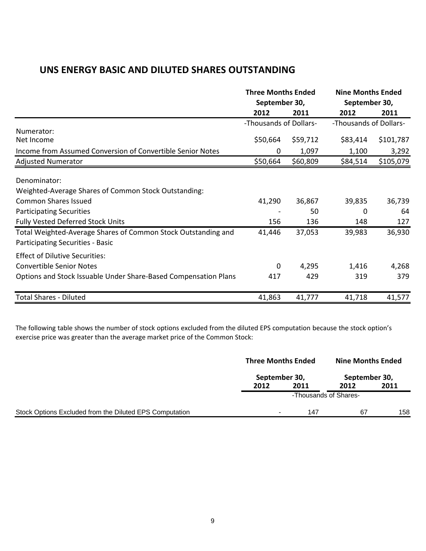# **UNS ENERGY BASIC AND DILUTED SHARES OUTSTANDING**

|                                                                                                   | <b>Three Months Ended</b><br>September 30, |          | <b>Nine Months Ended</b><br>September 30, |           |
|---------------------------------------------------------------------------------------------------|--------------------------------------------|----------|-------------------------------------------|-----------|
|                                                                                                   | 2012                                       | 2011     | 2012                                      | 2011      |
| Numerator:                                                                                        | -Thousands of Dollars-                     |          | -Thousands of Dollars-                    |           |
| Net Income                                                                                        | \$50,664                                   | \$59,712 | \$83,414                                  | \$101,787 |
| Income from Assumed Conversion of Convertible Senior Notes                                        | 0                                          | 1,097    | 1,100                                     | 3,292     |
| <b>Adjusted Numerator</b>                                                                         | \$50,664                                   | \$60,809 | \$84,514                                  | \$105,079 |
| Denominator:<br>Weighted-Average Shares of Common Stock Outstanding:                              |                                            |          |                                           |           |
| <b>Common Shares Issued</b>                                                                       | 41,290                                     | 36,867   | 39,835                                    | 36,739    |
| <b>Participating Securities</b>                                                                   |                                            | 50       | 0                                         | 64        |
| <b>Fully Vested Deferred Stock Units</b>                                                          | 156                                        | 136      | 148                                       | 127       |
| Total Weighted-Average Shares of Common Stock Outstanding and<br>Participating Securities - Basic | 41,446                                     | 37,053   | 39,983                                    | 36,930    |
| <b>Effect of Dilutive Securities:</b>                                                             |                                            |          |                                           |           |
| <b>Convertible Senior Notes</b>                                                                   | $\mathbf 0$                                | 4,295    | 1,416                                     | 4,268     |
| Options and Stock Issuable Under Share-Based Compensation Plans                                   | 417                                        | 429      | 319                                       | 379       |
| <b>Total Shares - Diluted</b>                                                                     | 41,863                                     | 41,777   | 41,718                                    | 41,577    |

The following table shows the number of stock options excluded from the diluted EPS computation because the stock option's exercise price was greater than the average market price of the Common Stock:

|                                                         |                | <b>Three Months Ended</b> |                                        | <b>Nine Months Ended</b> |  |
|---------------------------------------------------------|----------------|---------------------------|----------------------------------------|--------------------------|--|
|                                                         | September 30,  |                           |                                        |                          |  |
|                                                         | 2012           | 2011                      | 2012                                   | 2011                     |  |
|                                                         |                |                           | September 30,<br>-Thousands of Shares- |                          |  |
| Stock Options Excluded from the Diluted EPS Computation | $\blacksquare$ | 147                       | 67                                     | 158                      |  |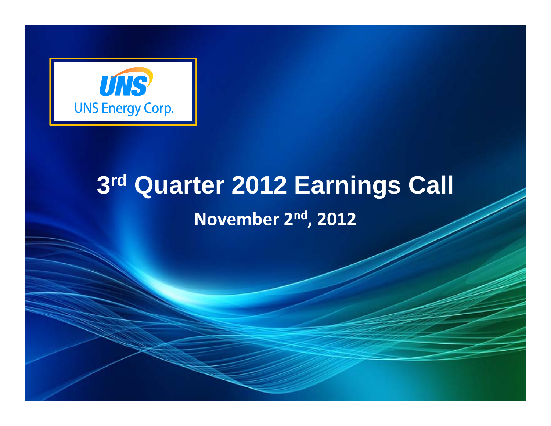

# **3rd Quarter 2012 Earnings Call November 2nd, 2012**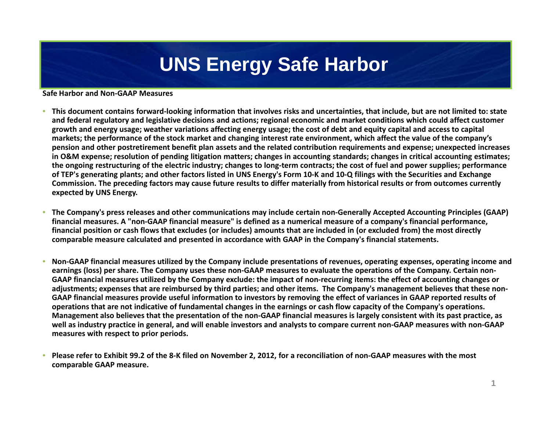# **UNS Energy Safe Harbor**

## **Safe Harbor and Non‐GAAP Measures**

- **•** This document contains forward-looking information that involves risks and uncertainties, that include, but are not limited to: state and federal regulatory and legislative decisions and actions; regional economic and market conditions which could affect customer growth and energy usage; weather variations affecting energy usage; the cost of debt and equity capital and access to capital markets; the performance of the stock market and changing interest rate environment, which affect the value of the company's pension and other postretirement benefit plan assets and the related contribution requirements and expense; unexpected increases in O&M expense; resolution of pending litigation matters; changes in accounting standards; changes in critical accounting estimates; the ongoing restructuring of the electric industry; changes to long-term contracts; the cost of fuel and power supplies; performance of TEP's generating plants; and other factors listed in UNS Energy's Form 10-K and 10-Q filings with the Securities and Exchange Commission. The preceding factors may cause future results to differ materially from historical results or from outcomes currently **expected by UNS Energy.**
- •**•** The Company's press releases and other communications may include certain non-Generally Accepted Accounting Principles (GAAP) financial measures. A "non-GAAP financial measure" is defined as a numerical measure of a company's financial performance, financial position or cash flows that excludes (or includes) amounts that are included in (or excluded from) the most directly comparable measure calculated and presented in accordance with GAAP in the Company's financial statements.
- •• Non-GAAP financial measures utilized by the Company include presentations of revenues, operating expenses, operating income and earnings (loss) per share. The Company uses these non-GAAP measures to evaluate the operations of the Company. Certain non-GAAP financial measures utilized by the Company exclude: the impact of non-recurring items: the effect of accounting changes or adjustments; expenses that are reimbursed by third parties; and other items. The Company's management believes that these non-GAAP financial measures provide useful information to investors by removing the effect of variances in GAAP reported results of operations that are not indicative of fundamental changes in the earnings or cash flow capacity of the Company's operations. Management also believes that the presentation of the non-GAAP financial measures is largely consistent with its past practice, as well as industry practice in general, and will enable investors and analysts to compare current non-GAAP measures with non-GAAP **measures with respect to prior periods.**
- • $\bullet$  Please refer to Exhibit 99.2 of the 8-K filed on November 2, 2012, for a reconciliation of non-GAAP measures with the most **comparable GAAP measure.**